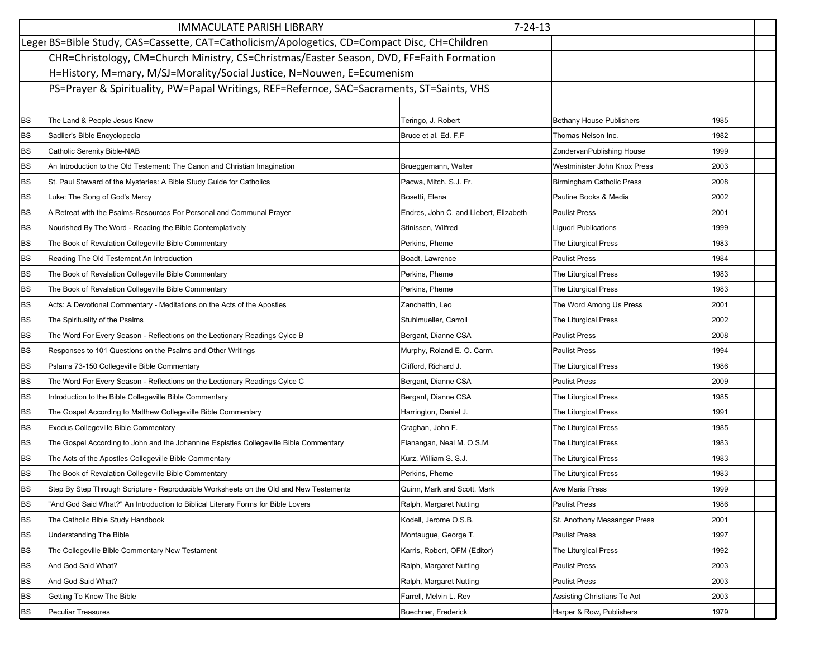|           | $7 - 24 - 13$<br><b>IMMACULATE PARISH LIBRARY</b>                                             |                                        |                                  |      |  |  |
|-----------|-----------------------------------------------------------------------------------------------|----------------------------------------|----------------------------------|------|--|--|
|           | Leger BS=Bible Study, CAS=Cassette, CAT=Catholicism/Apologetics, CD=Compact Disc, CH=Children |                                        |                                  |      |  |  |
|           | CHR=Christology, CM=Church Ministry, CS=Christmas/Easter Season, DVD, FF=Faith Formation      |                                        |                                  |      |  |  |
|           | H=History, M=mary, M/SJ=Morality/Social Justice, N=Nouwen, E=Ecumenism                        |                                        |                                  |      |  |  |
|           | PS=Prayer & Spirituality, PW=Papal Writings, REF=Refernce, SAC=Sacraments, ST=Saints, VHS     |                                        |                                  |      |  |  |
|           |                                                                                               |                                        |                                  |      |  |  |
| <b>BS</b> | The Land & People Jesus Knew                                                                  | Teringo, J. Robert                     | <b>Bethany House Publishers</b>  | 1985 |  |  |
| <b>BS</b> | Sadlier's Bible Encyclopedia                                                                  | Bruce et al, Ed. F.F                   | Thomas Nelson Inc.               | 1982 |  |  |
| <b>BS</b> | <b>Catholic Serenity Bible-NAB</b>                                                            |                                        | ZondervanPublishing House        | 1999 |  |  |
| <b>BS</b> | An Introduction to the Old Testement: The Canon and Christian Imagination                     | Brueggemann, Walter                    | Westminister John Knox Press     | 2003 |  |  |
| <b>BS</b> | St. Paul Steward of the Mysteries: A Bible Study Guide for Catholics                          | Pacwa, Mitch. S.J. Fr.                 | <b>Birmingham Catholic Press</b> | 2008 |  |  |
| <b>BS</b> | Luke: The Song of God's Mercy                                                                 | Bosetti, Elena                         | Pauline Books & Media            | 2002 |  |  |
| <b>BS</b> | A Retreat with the Psalms-Resources For Personal and Communal Prayer                          | Endres, John C. and Liebert, Elizabeth | <b>Paulist Press</b>             | 2001 |  |  |
| <b>BS</b> | Nourished By The Word - Reading the Bible Contemplatively                                     | Stinissen, Wilfred                     | Liguori Publications             | 1999 |  |  |
| <b>BS</b> | The Book of Revalation Collegeville Bible Commentary                                          | Perkins, Pheme                         | The Liturgical Press             | 1983 |  |  |
| <b>BS</b> | Reading The Old Testement An Introduction                                                     | Boadt, Lawrence                        | <b>Paulist Press</b>             | 1984 |  |  |
| <b>BS</b> | The Book of Revalation Collegeville Bible Commentary                                          | Perkins, Pheme                         | The Liturgical Press             | 1983 |  |  |
| <b>BS</b> | The Book of Revalation Collegeville Bible Commentary                                          | Perkins, Pheme                         | <b>The Liturgical Press</b>      | 1983 |  |  |
| <b>BS</b> | Acts: A Devotional Commentary - Meditations on the Acts of the Apostles                       | Zanchettin, Leo                        | The Word Among Us Press          | 2001 |  |  |
| <b>BS</b> | The Spirituality of the Psalms                                                                | Stuhlmueller, Carroll                  | The Liturgical Press             | 2002 |  |  |
| <b>BS</b> | The Word For Every Season - Reflections on the Lectionary Readings Cylce B                    | Bergant, Dianne CSA                    | <b>Paulist Press</b>             | 2008 |  |  |
| <b>BS</b> | Responses to 101 Questions on the Psalms and Other Writings                                   | Murphy, Roland E. O. Carm.             | <b>Paulist Press</b>             | 1994 |  |  |
| <b>BS</b> | Pslams 73-150 Collegeville Bible Commentary                                                   | Clifford, Richard J.                   | The Liturgical Press             | 1986 |  |  |
| <b>BS</b> | The Word For Every Season - Reflections on the Lectionary Readings Cylce C                    | Bergant, Dianne CSA                    | Paulist Press                    | 2009 |  |  |
| <b>BS</b> | Introduction to the Bible Collegeville Bible Commentary                                       | Bergant, Dianne CSA                    | The Liturgical Press             | 1985 |  |  |
| <b>BS</b> | The Gospel According to Matthew Collegeville Bible Commentary                                 | Harrington, Daniel J.                  | <b>The Liturgical Press</b>      | 1991 |  |  |
| <b>BS</b> | Exodus Collegeville Bible Commentary                                                          | Craghan, John F.                       | The Liturgical Press             | 1985 |  |  |
| <b>BS</b> | The Gospel According to John and the Johannine Espistles Collegeville Bible Commentary        | Flanangan, Neal M. O.S.M.              | The Liturgical Press             | 1983 |  |  |
| <b>BS</b> | The Acts of the Apostles Collegeville Bible Commentary                                        | Kurz, William S. S.J.                  | The Liturgical Press             | 1983 |  |  |
| <b>BS</b> | The Book of Revalation Collegeville Bible Commentary                                          | Perkins, Pheme                         | <b>The Liturgical Press</b>      | 1983 |  |  |
| <b>BS</b> | Step By Step Through Scripture - Reproducible Worksheets on the Old and New Testements        | Quinn, Mark and Scott, Mark            | Ave Maria Press                  | 1999 |  |  |
| <b>BS</b> | And God Said What?" An Introduction to Biblical Literary Forms for Bible Lovers               | Ralph, Margaret Nutting                | <b>Paulist Press</b>             | 1986 |  |  |
| BS        | The Catholic Bible Study Handbook                                                             | Kodell, Jerome O.S.B.                  | St. Anothony Messanger Press     | 2001 |  |  |
| BS        | <b>Understanding The Bible</b>                                                                | Montaugue, George T.                   | <b>Paulist Press</b>             | 1997 |  |  |
| BS        | The Collegeville Bible Commentary New Testament                                               | Karris, Robert, OFM (Editor)           | <b>The Liturgical Press</b>      | 1992 |  |  |
| BS        | And God Said What?                                                                            | Ralph, Margaret Nutting                | <b>Paulist Press</b>             | 2003 |  |  |
| BS        | And God Said What?                                                                            | Ralph, Margaret Nutting                | <b>Paulist Press</b>             | 2003 |  |  |
| <b>BS</b> | Getting To Know The Bible                                                                     | Farrell, Melvin L. Rev                 | Assisting Christians To Act      | 2003 |  |  |
| BS        | Peculiar Treasures                                                                            | Buechner, Frederick                    | Harper & Row, Publishers         | 1979 |  |  |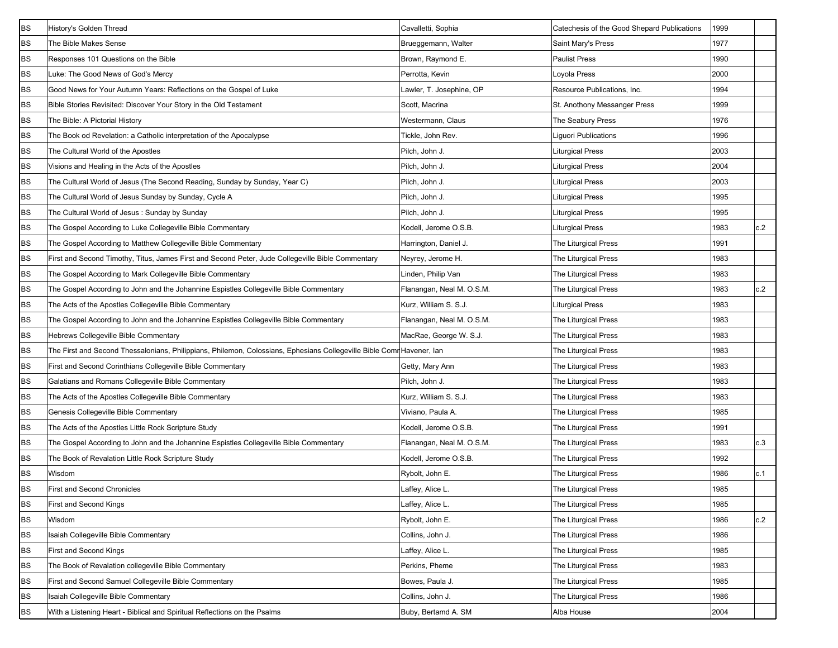| <b>BS</b> | History's Golden Thread                                                                                               | Cavalletti, Sophia        | Catechesis of the Good Shepard Publications | 1999 |     |
|-----------|-----------------------------------------------------------------------------------------------------------------------|---------------------------|---------------------------------------------|------|-----|
| <b>BS</b> | The Bible Makes Sense                                                                                                 | Brueggemann, Walter       | Saint Mary's Press                          | 1977 |     |
| BS        | Responses 101 Questions on the Bible                                                                                  | Brown, Raymond E.         | <b>Paulist Press</b>                        | 1990 |     |
| BS        | Luke: The Good News of God's Mercy                                                                                    | Perrotta, Kevin           | Loyola Press                                | 2000 |     |
| BS        | Good News for Your Autumn Years: Reflections on the Gospel of Luke                                                    | Lawler, T. Josephine, OP  | Resource Publications, Inc.                 | 1994 |     |
| BS        | Bible Stories Revisited: Discover Your Story in the Old Testament                                                     | Scott, Macrina            | St. Anothony Messanger Press                | 1999 |     |
| BS        | The Bible: A Pictorial History                                                                                        | Westermann, Claus         | The Seabury Press                           | 1976 |     |
| BS        | The Book od Revelation: a Catholic interpretation of the Apocalypse                                                   | Tickle, John Rev.         | Liguori Publications                        | 1996 |     |
| <b>BS</b> | The Cultural World of the Apostles                                                                                    | Pilch, John J.            | Liturgical Press                            | 2003 |     |
| BS        | Visions and Healing in the Acts of the Apostles                                                                       | Pilch, John J.            | <b>Liturgical Press</b>                     | 2004 |     |
| BS        | The Cultural World of Jesus (The Second Reading, Sunday by Sunday, Year C)                                            | Pilch, John J.            | <b>Liturgical Press</b>                     | 2003 |     |
| BS        | The Cultural World of Jesus Sunday by Sunday, Cycle A                                                                 | Pilch, John J.            | Liturgical Press                            | 1995 |     |
| BS        | The Cultural World of Jesus: Sunday by Sunday                                                                         | Pilch, John J.            | Liturgical Press                            | 1995 |     |
| BS        | The Gospel According to Luke Collegeville Bible Commentary                                                            | Kodell, Jerome O.S.B.     | <b>Liturgical Press</b>                     | 1983 | c.2 |
| BS        | The Gospel According to Matthew Collegeville Bible Commentary                                                         | Harrington, Daniel J.     | The Liturgical Press                        | 1991 |     |
| BS        | First and Second Timothy, Titus, James First and Second Peter, Jude Collegeville Bible Commentary                     | Neyrey, Jerome H.         | The Liturgical Press                        | 1983 |     |
| BS        | The Gospel According to Mark Collegeville Bible Commentary                                                            | Linden, Philip Van        | The Liturgical Press                        | 1983 |     |
| <b>BS</b> | The Gospel According to John and the Johannine Espistles Collegeville Bible Commentary                                | Flanangan, Neal M. O.S.M. | The Liturgical Press                        | 1983 | c.2 |
| <b>BS</b> | The Acts of the Apostles Collegeville Bible Commentary                                                                | Kurz, William S. S.J.     | Liturgical Press                            | 1983 |     |
| BS        | The Gospel According to John and the Johannine Espistles Collegeville Bible Commentary                                | Flanangan, Neal M. O.S.M. | The Liturgical Press                        | 1983 |     |
| BS        | Hebrews Collegeville Bible Commentary                                                                                 | MacRae, George W. S.J.    | The Liturgical Press                        | 1983 |     |
| BS        | The First and Second Thessalonians, Philippians, Philemon, Colossians, Ephesians Collegeville Bible Comr Havener, Ian |                           | The Liturgical Press                        | 1983 |     |
| BS        | First and Second Corinthians Collegeville Bible Commentary                                                            | Getty, Mary Ann           | The Liturgical Press                        | 1983 |     |
| BS        | Galatians and Romans Collegeville Bible Commentary                                                                    | Pilch, John J.            | <b>The Liturgical Press</b>                 | 1983 |     |
| BS        | The Acts of the Apostles Collegeville Bible Commentary                                                                | Kurz, William S. S.J.     | The Liturgical Press                        | 1983 |     |
| <b>BS</b> | Genesis Collegeville Bible Commentary                                                                                 | Viviano, Paula A.         | The Liturgical Press                        | 1985 |     |
| BS        | The Acts of the Apostles Little Rock Scripture Study                                                                  | Kodell, Jerome O.S.B.     | The Liturgical Press                        | 1991 |     |
| <b>BS</b> | The Gospel According to John and the Johannine Espistles Collegeville Bible Commentary                                | Flanangan, Neal M. O.S.M. | The Liturgical Press                        | 1983 | c.3 |
| BS        | The Book of Revalation Little Rock Scripture Study                                                                    | Kodell, Jerome O.S.B.     | The Liturgical Press                        | 1992 |     |
| BS        | Wisdom                                                                                                                | Rybolt, John E.           | The Liturgical Press                        | 1986 | c.1 |
| <b>BS</b> | <b>First and Second Chronicles</b>                                                                                    | Laffey, Alice L.          | <b>The Liturgical Press</b>                 | 1985 |     |
| BS        | <b>First and Second Kings</b>                                                                                         | Laffey, Alice L.          | <b>The Liturgical Press</b>                 | 1985 |     |
| BS        | Wisdom                                                                                                                | Rybolt, John E.           | The Liturgical Press                        | 1986 | c.2 |
| BS        | Isaiah Collegeville Bible Commentary                                                                                  | Collins, John J.          | The Liturgical Press                        | 1986 |     |
| BS        | <b>First and Second Kings</b>                                                                                         | Laffey, Alice L.          | The Liturgical Press                        | 1985 |     |
| BS        | The Book of Revalation collegeville Bible Commentary                                                                  | Perkins, Pheme            | The Liturgical Press                        | 1983 |     |
| BS        | First and Second Samuel Collegeville Bible Commentary                                                                 | Bowes, Paula J.           | The Liturgical Press                        | 1985 |     |
| BS        | Isaiah Collegeville Bible Commentary                                                                                  | Collins, John J.          | The Liturgical Press                        | 1986 |     |
| BS        | With a Listening Heart - Biblical and Spiritual Reflections on the Psalms                                             | Buby, Bertamd A. SM       | Alba House                                  | 2004 |     |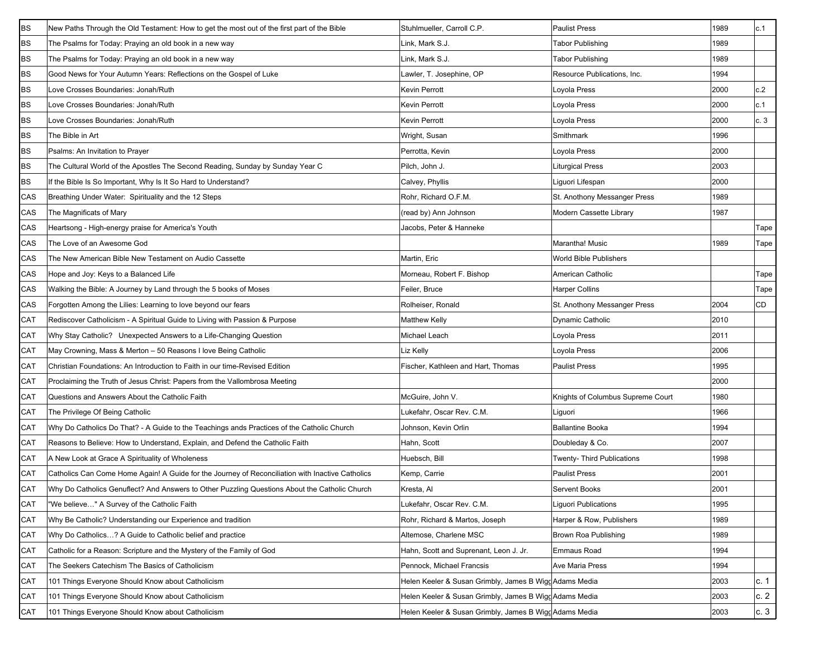| <b>BS</b> | New Paths Through the Old Testament: How to get the most out of the first part of the Bible      | Stuhlmueller, Carroll C.P.                             | <b>Paulist Press</b>              | 1989 | c.1       |
|-----------|--------------------------------------------------------------------------------------------------|--------------------------------------------------------|-----------------------------------|------|-----------|
| <b>BS</b> | The Psalms for Today: Praying an old book in a new way                                           | Link, Mark S.J.                                        | <b>Tabor Publishing</b>           | 1989 |           |
| <b>BS</b> | The Psalms for Today: Praying an old book in a new way                                           | Link, Mark S.J.                                        | <b>Tabor Publishing</b>           | 1989 |           |
| BS        | Good News for Your Autumn Years: Reflections on the Gospel of Luke                               | Lawler, T. Josephine, OP                               | Resource Publications, Inc.       | 1994 |           |
| <b>BS</b> | Love Crosses Boundaries: Jonah/Ruth                                                              | <b>Kevin Perrott</b>                                   | Loyola Press                      | 2000 | c.2       |
| BS        | Love Crosses Boundaries: Jonah/Ruth                                                              | Kevin Perrott                                          | Loyola Press                      | 2000 | c.1       |
| BS        | Love Crosses Boundaries: Jonah/Ruth                                                              | <b>Kevin Perrott</b>                                   | Loyola Press                      | 2000 | c.3       |
| BS        | The Bible in Art                                                                                 | Wright, Susan                                          | Smithmark                         | 1996 |           |
| <b>BS</b> | Psalms: An Invitation to Prayer                                                                  | Perrotta, Kevin                                        | Loyola Press                      | 2000 |           |
| BS        | The Cultural World of the Apostles The Second Reading, Sunday by Sunday Year C                   | Pilch, John J.                                         | Liturgical Press                  | 2003 |           |
| BS        | If the Bible Is So Important, Why Is It So Hard to Understand?                                   | Calvey, Phyllis                                        | Liguori Lifespan                  | 2000 |           |
| CAS       | Breathing Under Water: Spirituality and the 12 Steps                                             | Rohr, Richard O.F.M.                                   | St. Anothony Messanger Press      | 1989 |           |
| CAS       | The Magnificats of Mary                                                                          | (read by) Ann Johnson                                  | Modern Cassette Library           | 1987 |           |
| CAS       | Heartsong - High-energy praise for America's Youth                                               | Jacobs, Peter & Hanneke                                |                                   |      | Tape      |
| CAS       | The Love of an Awesome God                                                                       |                                                        | Marantha! Music                   | 1989 | Tape      |
| CAS       | The New American Bible New Testament on Audio Cassette                                           | Martin, Eric                                           | <b>World Bible Publishers</b>     |      |           |
| CAS       | Hope and Joy: Keys to a Balanced Life                                                            | Morneau, Robert F. Bishop                              | American Catholic                 |      | Tape      |
| CAS       | Walking the Bible: A Journey by Land through the 5 books of Moses                                | Feiler, Bruce                                          | <b>Harper Collins</b>             |      | Tape      |
| CAS       | Forgotten Among the Lilies: Learning to love beyond our fears                                    | Rolheiser, Ronald                                      | St. Anothony Messanger Press      | 2004 | <b>CD</b> |
| CAT       | Rediscover Catholicism - A Spiritual Guide to Living with Passion & Purpose                      | Matthew Kelly                                          | Dynamic Catholic                  | 2010 |           |
| CAT       | Why Stay Catholic? Unexpected Answers to a Life-Changing Question                                | Michael Leach                                          | Loyola Press                      | 2011 |           |
| CAT       | May Crowning, Mass & Merton - 50 Reasons I love Being Catholic                                   | Liz Kelly                                              | Loyola Press                      | 2006 |           |
| CAT       | Christian Foundations: An Introduction to Faith in our time-Revised Edition                      | Fischer, Kathleen and Hart, Thomas                     | <b>Paulist Press</b>              | 1995 |           |
| CAT       | Proclaiming the Truth of Jesus Christ: Papers from the Vallombrosa Meeting                       |                                                        |                                   | 2000 |           |
| CAT       | Questions and Answers About the Catholic Faith                                                   | McGuire, John V.                                       | Knights of Columbus Supreme Court | 1980 |           |
| CAT       | The Privilege Of Being Catholic                                                                  | Lukefahr, Oscar Rev. C.M.                              | Liguori                           | 1966 |           |
| CAT       | Why Do Catholics Do That? - A Guide to the Teachings ands Practices of the Catholic Church       | Johnson, Kevin Orlin                                   | <b>Ballantine Booka</b>           | 1994 |           |
| CAT       | Reasons to Believe: How to Understand, Explain, and Defend the Catholic Faith                    | Hahn, Scott                                            | Doubleday & Co.                   | 2007 |           |
| CAT       | A New Look at Grace A Spirituality of Wholeness                                                  | Huebsch, Bill                                          | Twenty- Third Publications        | 1998 |           |
| CAT       | Catholics Can Come Home Again! A Guide for the Journey of Reconciliation with Inactive Catholics | Kemp, Carrie                                           | <b>Paulist Press</b>              | 2001 |           |
| CAT       | Why Do Catholics Genuflect? And Answers to Other Puzzling Questions About the Catholic Church    | Kresta, Al                                             | <b>Servent Books</b>              | 2001 |           |
| CAT       | "We believe…" A Survey of the Catholic Faith                                                     | Lukefahr, Oscar Rev. C.M.                              | Liguori Publications              | 1995 |           |
| CAT       | Why Be Catholic? Understanding our Experience and tradition                                      | Rohr, Richard & Martos, Joseph                         | Harper & Row, Publishers          | 1989 |           |
| CAT       | Why Do Catholics? A Guide to Catholic belief and practice                                        | Altemose, Charlene MSC                                 | Brown Roa Publishing              | 1989 |           |
| CAT       | Catholic for a Reason: Scripture and the Mystery of the Family of God                            | Hahn, Scott and Suprenant, Leon J. Jr.                 | Emmaus Road                       | 1994 |           |
| CAT       | The Seekers Catechism The Basics of Catholicism                                                  | Pennock, Michael Francsis                              | Ave Maria Press                   | 1994 |           |
| CAT       | 101 Things Everyone Should Know about Catholicism                                                | Helen Keeler & Susan Grimbly, James B WiggAdams Media  |                                   | 2003 | c. 1      |
| CAT       | 101 Things Everyone Should Know about Catholicism                                                | Helen Keeler & Susan Grimbly, James B Wigg Adams Media |                                   | 2003 | c.2       |
| CAT       | 101 Things Everyone Should Know about Catholicism                                                | Helen Keeler & Susan Grimbly, James B WiggAdams Media  |                                   | 2003 | c.3       |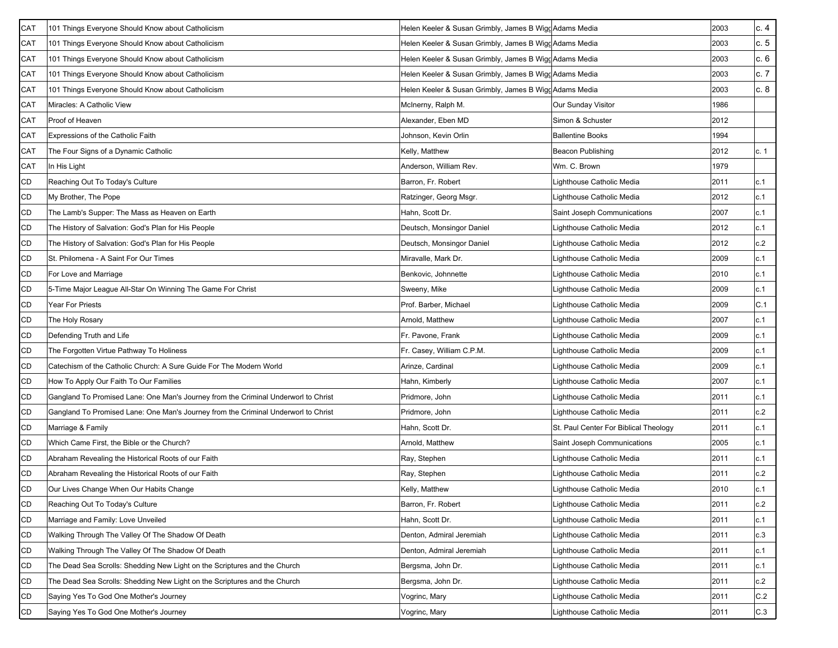| CAT | 101 Things Everyone Should Know about Catholicism                                  | Helen Keeler & Susan Grimbly, James B Wigg Adams Media |                                       | 2003 | c.4  |
|-----|------------------------------------------------------------------------------------|--------------------------------------------------------|---------------------------------------|------|------|
| CAT | 101 Things Everyone Should Know about Catholicism                                  | Helen Keeler & Susan Grimbly, James B Wigg Adams Media |                                       | 2003 | c.5  |
| CAT | 101 Things Everyone Should Know about Catholicism                                  | Helen Keeler & Susan Grimbly, James B WiggAdams Media  |                                       | 2003 | c.6  |
| CAT | 101 Things Everyone Should Know about Catholicism                                  | Helen Keeler & Susan Grimbly, James B Wigg Adams Media |                                       | 2003 | c.7  |
| CAT | 101 Things Everyone Should Know about Catholicism                                  | Helen Keeler & Susan Grimbly, James B Wigg Adams Media |                                       | 2003 | c. 8 |
| CAT | Miracles: A Catholic View                                                          | McInerny, Ralph M.                                     | Our Sunday Visitor                    | 1986 |      |
| CAT | Proof of Heaven                                                                    | Alexander, Eben MD                                     | Simon & Schuster                      | 2012 |      |
| CAT | Expressions of the Catholic Faith                                                  | Johnson, Kevin Orlin                                   | <b>Ballentine Books</b>               | 1994 |      |
| CAT | The Four Signs of a Dynamic Catholic                                               | Kelly, Matthew                                         | Beacon Publishing                     | 2012 | c. 1 |
| CAT | In His Light                                                                       | Anderson, William Rev.                                 | Wm. C. Brown                          | 1979 |      |
| CD  | Reaching Out To Today's Culture                                                    | Barron, Fr. Robert                                     | Lighthouse Catholic Media             | 2011 | c.1  |
| CD  | My Brother, The Pope                                                               | Ratzinger, Georg Msgr.                                 | Lighthouse Catholic Media             | 2012 | c.1  |
| CD  | The Lamb's Supper: The Mass as Heaven on Earth                                     | Hahn, Scott Dr.                                        | Saint Joseph Communications           | 2007 | c.1  |
| CD  | The History of Salvation: God's Plan for His People                                | Deutsch, Monsingor Daniel                              | Lighthouse Catholic Media             | 2012 | c.1  |
| CD  | The History of Salvation: God's Plan for His People                                | Deutsch, Monsingor Daniel                              | Lighthouse Catholic Media             | 2012 | c.2  |
| CD  | St. Philomena - A Saint For Our Times                                              | Miravalle, Mark Dr.                                    | Lighthouse Catholic Media             | 2009 | c.1  |
| CD  | For Love and Marriage                                                              | Benkovic, Johnnette                                    | Lighthouse Catholic Media             | 2010 | c.1  |
| CD  | 5-Time Major League All-Star On Winning The Game For Christ                        | Sweeny, Mike                                           | Lighthouse Catholic Media             | 2009 | c.1  |
| CD  | Year For Priests                                                                   | Prof. Barber, Michael                                  | Lighthouse Catholic Media             | 2009 | C.1  |
| CD  | The Holy Rosary                                                                    | Arnold, Matthew                                        | Lighthouse Catholic Media             | 2007 | c.1  |
| CD  | Defending Truth and Life                                                           | Fr. Pavone, Frank                                      | Lighthouse Catholic Media             | 2009 | c.1  |
| CD  | The Forgotten Virtue Pathway To Holiness                                           | Fr. Casey, William C.P.M.                              | Lighthouse Catholic Media             | 2009 | c.1  |
| CD  | Catechism of the Catholic Church: A Sure Guide For The Modern World                | Arinze, Cardinal                                       | Lighthouse Catholic Media             | 2009 | c.1  |
| CD  | How To Apply Our Faith To Our Families                                             | Hahn, Kimberly                                         | Lighthouse Catholic Media             | 2007 | c.1  |
| CD  | Gangland To Promised Lane: One Man's Journey from the Criminal Underworl to Christ | Pridmore, John                                         | Lighthouse Catholic Media             | 2011 | c.1  |
| CD  | Gangland To Promised Lane: One Man's Journey from the Criminal Underworl to Christ | Pridmore, John                                         | Lighthouse Catholic Media             | 2011 | c.2  |
| CD  | Marriage & Family                                                                  | Hahn, Scott Dr.                                        | St. Paul Center For Biblical Theology | 2011 | c.1  |
| CD  | Which Came First, the Bible or the Church?                                         | Arnold, Matthew                                        | Saint Joseph Communications           | 2005 | c.1  |
| CD  | Abraham Revealing the Historical Roots of our Faith                                | Ray, Stephen                                           | Lighthouse Catholic Media             | 2011 | c.1  |
| CD  | Abraham Revealing the Historical Roots of our Faith                                | Ray, Stephen                                           | Lighthouse Catholic Media             | 2011 | c.2  |
| CD  | Our Lives Change When Our Habits Change                                            | Kelly, Matthew                                         | Lighthouse Catholic Media             | 2010 | c.1  |
| CD  | Reaching Out To Today's Culture                                                    | Barron, Fr. Robert                                     | Lighthouse Catholic Media             | 2011 | c.2  |
| CD  | Marriage and Family: Love Unveiled                                                 | Hahn, Scott Dr.                                        | Lighthouse Catholic Media             | 2011 | c.1  |
| CD  | Walking Through The Valley Of The Shadow Of Death                                  | Denton, Admiral Jeremiah                               | Lighthouse Catholic Media             | 2011 | c.3  |
| CD  | Walking Through The Valley Of The Shadow Of Death                                  | Denton, Admiral Jeremiah                               | Lighthouse Catholic Media             | 2011 | c.1  |
| CD  | The Dead Sea Scrolls: Shedding New Light on the Scriptures and the Church          | Bergsma, John Dr.                                      | Lighthouse Catholic Media             | 2011 | c.1  |
| CD  | The Dead Sea Scrolls: Shedding New Light on the Scriptures and the Church          | Bergsma, John Dr.                                      | Lighthouse Catholic Media             | 2011 | c.2  |
| CD  | Saying Yes To God One Mother's Journey                                             | Vogrinc, Mary                                          | Lighthouse Catholic Media             | 2011 | C.2  |
| CD  | Saying Yes To God One Mother's Journey                                             | Vogrinc, Mary                                          | Lighthouse Catholic Media             | 2011 | C.3  |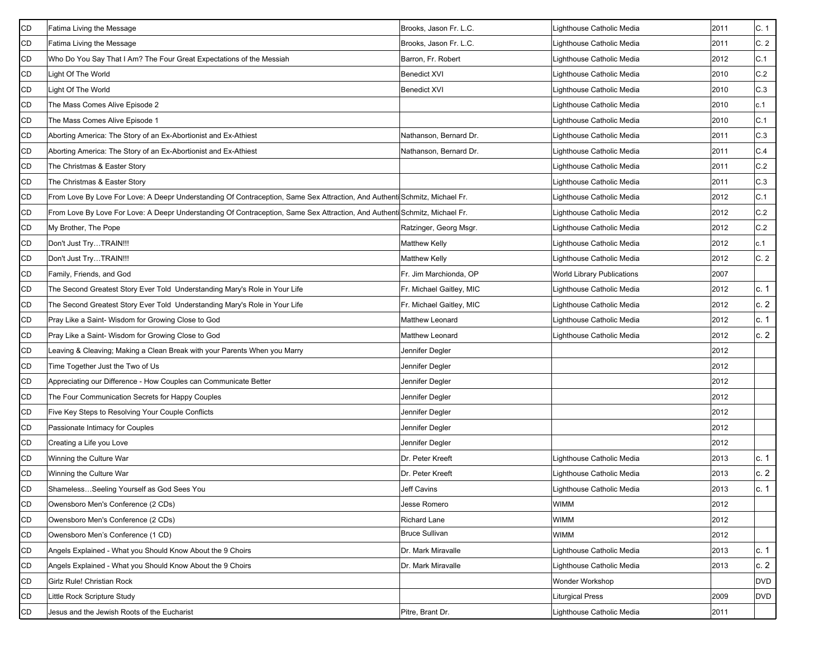| <b>CD</b> | Fatima Living the Message                                                                                                  | Brooks, Jason Fr. L.C.   | Lighthouse Catholic Media  | 2011 | C.1          |
|-----------|----------------------------------------------------------------------------------------------------------------------------|--------------------------|----------------------------|------|--------------|
| CD        | Fatima Living the Message                                                                                                  | Brooks, Jason Fr. L.C.   | Lighthouse Catholic Media  | 2011 | C.2          |
| CD        | Who Do You Say That I Am? The Four Great Expectations of the Messiah                                                       | Barron, Fr. Robert       | Lighthouse Catholic Media  | 2012 | C.1          |
| CD        | Light Of The World                                                                                                         | <b>Benedict XVI</b>      | Lighthouse Catholic Media  | 2010 | C.2          |
| CD        | Light Of The World                                                                                                         | <b>Benedict XVI</b>      | Lighthouse Catholic Media  | 2010 | C.3          |
| CD        | The Mass Comes Alive Episode 2                                                                                             |                          | Lighthouse Catholic Media  | 2010 | c.1          |
| CD        | The Mass Comes Alive Episode 1                                                                                             |                          | Lighthouse Catholic Media  | 2010 | C.1          |
| CD        | Aborting America: The Story of an Ex-Abortionist and Ex-Athiest                                                            | Nathanson, Bernard Dr.   | Lighthouse Catholic Media  | 2011 | C.3          |
| CD        | Aborting America: The Story of an Ex-Abortionist and Ex-Athiest                                                            | Nathanson, Bernard Dr.   | Lighthouse Catholic Media  | 2011 | C.4          |
| CD        | The Christmas & Easter Story                                                                                               |                          | Lighthouse Catholic Media  | 2011 | $\mbox{C.2}$ |
| CD        | The Christmas & Easter Story                                                                                               |                          | Lighthouse Catholic Media  | 2011 | C.3          |
| CD        | From Love By Love For Love: A Deepr Understanding Of Contraception, Same Sex Attraction, And Authenti Schmitz, Michael Fr. |                          | Lighthouse Catholic Media  | 2012 | C.1          |
| CD        | From Love By Love For Love: A Deepr Understanding Of Contraception, Same Sex Attraction, And Authenti Schmitz, Michael Fr. |                          | Lighthouse Catholic Media  | 2012 | C.2          |
| CD        | My Brother, The Pope                                                                                                       | Ratzinger, Georg Msgr.   | Lighthouse Catholic Media  | 2012 | C.2          |
| CD        | Don't Just TryTRAIN!!!                                                                                                     | Matthew Kelly            | Lighthouse Catholic Media  | 2012 | c.1          |
| CD        | Don't Just TryTRAIN!!!                                                                                                     | Matthew Kelly            | Lighthouse Catholic Media  | 2012 | C.2          |
| CD        | Family, Friends, and God                                                                                                   | Fr. Jim Marchionda, OP   | World Library Publications | 2007 |              |
| <b>CD</b> | The Second Greatest Story Ever Told Understanding Mary's Role in Your Life                                                 | Fr. Michael Gaitley, MIC | Lighthouse Catholic Media  | 2012 | c.1          |
| CD        | The Second Greatest Story Ever Told Understanding Mary's Role in Your Life                                                 | Fr. Michael Gaitley, MIC | Lighthouse Catholic Media  | 2012 | c.2          |
| CD        | Pray Like a Saint- Wisdom for Growing Close to God                                                                         | Matthew Leonard          | Lighthouse Catholic Media  | 2012 | c. 1         |
| CD        | Pray Like a Saint- Wisdom for Growing Close to God                                                                         | Matthew Leonard          | Lighthouse Catholic Media  | 2012 | c.2          |
| CD        | Leaving & Cleaving; Making a Clean Break with your Parents When you Marry                                                  | Jennifer Degler          |                            | 2012 |              |
| CD        | Time Together Just the Two of Us                                                                                           | Jennifer Degler          |                            | 2012 |              |
| CD        | Appreciating our Difference - How Couples can Communicate Better                                                           | Jennifer Degler          |                            | 2012 |              |
| CD        | The Four Communication Secrets for Happy Couples                                                                           | Jennifer Degler          |                            | 2012 |              |
| CD        | Five Key Steps to Resolving Your Couple Conflicts                                                                          | Jennifer Degler          |                            | 2012 |              |
| CD        | Passionate Intimacy for Couples                                                                                            | Jennifer Degler          |                            | 2012 |              |
| CD        | Creating a Life you Love                                                                                                   | Jennifer Degler          |                            | 2012 |              |
| CD        | Winning the Culture War                                                                                                    | Dr. Peter Kreeft         | Lighthouse Catholic Media  | 2013 | c. 1         |
| CD        | Winning the Culture War                                                                                                    | Dr. Peter Kreeft         | Lighthouse Catholic Media  | 2013 | c.2          |
| <b>CD</b> | ShamelessSeeling Yourself as God Sees You                                                                                  | <b>Jeff Cavins</b>       | Lighthouse Catholic Media  | 2013 | c.1          |
| <b>CD</b> | Owensboro Men's Conference (2 CDs)                                                                                         | Jesse Romero             | <b>WIMM</b>                | 2012 |              |
| CD        | Owensboro Men's Conference (2 CDs)                                                                                         | <b>Richard Lane</b>      | <b>WIMM</b>                | 2012 |              |
| CD        | Owensboro Men's Conference (1 CD)                                                                                          | <b>Bruce Sullivan</b>    | <b>WIMM</b>                | 2012 |              |
| CD        | Angels Explained - What you Should Know About the 9 Choirs                                                                 | Dr. Mark Miravalle       | Lighthouse Catholic Media  | 2013 | c. 1         |
| CD        | Angels Explained - What you Should Know About the 9 Choirs                                                                 | Dr. Mark Miravalle       | Lighthouse Catholic Media  | 2013 | c.2          |
| CD        | Girlz Rule! Christian Rock                                                                                                 |                          | Wonder Workshop            |      | <b>DVD</b>   |
| CD        | Little Rock Scripture Study                                                                                                |                          | <b>Liturgical Press</b>    | 2009 | <b>DVD</b>   |
| CD        | Jesus and the Jewish Roots of the Eucharist                                                                                | Pitre, Brant Dr.         | Lighthouse Catholic Media  | 2011 |              |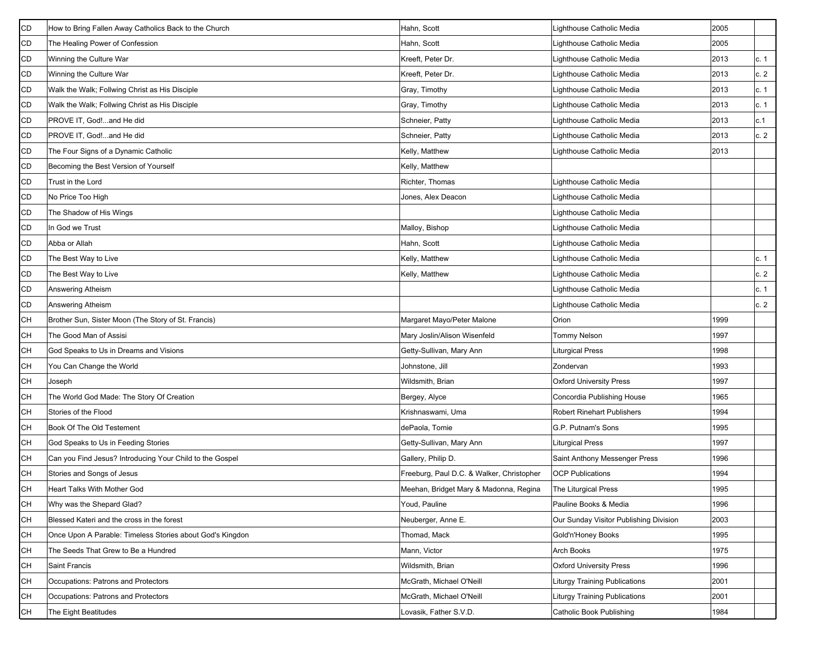| <b>CD</b> | How to Bring Fallen Away Catholics Back to the Church     | Hahn, Scott                               | Lighthouse Catholic Media              | 2005 |      |
|-----------|-----------------------------------------------------------|-------------------------------------------|----------------------------------------|------|------|
| CD        | The Healing Power of Confession                           | Hahn, Scott                               | Lighthouse Catholic Media              | 2005 |      |
| CD        | Winning the Culture War                                   | Kreeft, Peter Dr.                         | Lighthouse Catholic Media              | 2013 | c. 1 |
| CD        | Winning the Culture War                                   | Kreeft, Peter Dr.                         | Lighthouse Catholic Media              | 2013 | c.2  |
| CD        | Walk the Walk; Follwing Christ as His Disciple            | Gray, Timothy                             | Lighthouse Catholic Media              | 2013 | c. 1 |
| CD        | Walk the Walk; Follwing Christ as His Disciple            | Gray, Timothy                             | Lighthouse Catholic Media              | 2013 | c. 1 |
| CD        | PROVE IT, God!and He did                                  | Schneier, Patty                           | Lighthouse Catholic Media              | 2013 | c.1  |
| CD        | PROVE IT, God!and He did                                  | Schneier, Patty                           | Lighthouse Catholic Media              | 2013 | c.2  |
| CD        | The Four Signs of a Dynamic Catholic                      | Kelly, Matthew                            | Lighthouse Catholic Media              | 2013 |      |
| CD        | Becoming the Best Version of Yourself                     | Kelly, Matthew                            |                                        |      |      |
| CD        | Trust in the Lord                                         | Richter, Thomas                           | Lighthouse Catholic Media              |      |      |
| CD        | No Price Too High                                         | Jones, Alex Deacon                        | Lighthouse Catholic Media              |      |      |
| CD        | The Shadow of His Wings                                   |                                           | Lighthouse Catholic Media              |      |      |
| CD        | In God we Trust                                           | Malloy, Bishop                            | Lighthouse Catholic Media              |      |      |
| CD        | Abba or Allah                                             | Hahn, Scott                               | Lighthouse Catholic Media              |      |      |
| CD        | The Best Way to Live                                      | Kelly, Matthew                            | Lighthouse Catholic Media              |      | c. 1 |
| CD        | The Best Way to Live                                      | Kelly, Matthew                            | Lighthouse Catholic Media              |      | c.2  |
| CD        | Answering Atheism                                         |                                           | Lighthouse Catholic Media              |      | c. 1 |
| CD        | <b>Answering Atheism</b>                                  |                                           | Lighthouse Catholic Media              |      | c.2  |
| CН        | Brother Sun, Sister Moon (The Story of St. Francis)       | Margaret Mayo/Peter Malone                | Orion                                  | 1999 |      |
| CН        | The Good Man of Assisi                                    | Mary Joslin/Alison Wisenfeld              | <b>Tommy Nelson</b>                    | 1997 |      |
| CН        | God Speaks to Us in Dreams and Visions                    | Getty-Sullivan, Mary Ann                  | Liturgical Press                       | 1998 |      |
| CН        | You Can Change the World                                  | Johnstone, Jill                           | Zondervan                              | 1993 |      |
| CН        | Joseph                                                    | Wildsmith, Brian                          | <b>Oxford University Press</b>         | 1997 |      |
| CН        | The World God Made: The Story Of Creation                 | Bergey, Alyce                             | Concordia Publishing House             | 1965 |      |
| CН        | Stories of the Flood                                      | Krishnaswami, Uma                         | <b>Robert Rinehart Publishers</b>      | 1994 |      |
| CН        | Book Of The Old Testement                                 | dePaola, Tomie                            | G.P. Putnam's Sons                     | 1995 |      |
| CН        | God Speaks to Us in Feeding Stories                       | Getty-Sullivan, Mary Ann                  | <b>Liturgical Press</b>                | 1997 |      |
| CН        | Can you Find Jesus? Introducing Your Child to the Gospel  | Gallery, Philip D.                        | Saint Anthony Messenger Press          | 1996 |      |
| CН        | Stories and Songs of Jesus                                | Freeburg, Paul D.C. & Walker, Christopher | <b>OCP Publications</b>                | 1994 |      |
| <b>CH</b> | <b>Heart Talks With Mother God</b>                        | Meehan, Bridget Mary & Madonna, Regina    | The Liturgical Press                   | 1995 |      |
| CН        | Why was the Shepard Glad?                                 | Youd, Pauline                             | Pauline Books & Media                  | 1996 |      |
| CН        | Blessed Kateri and the cross in the forest                | Neuberger, Anne E.                        | Our Sunday Visitor Publishing Division | 2003 |      |
| CН        | Once Upon A Parable: Timeless Stories about God's Kingdon | Thomad, Mack                              | Gold'n'Honey Books                     | 1995 |      |
| CН        | The Seeds That Grew to Be a Hundred                       | Mann, Victor                              | Arch Books                             | 1975 |      |
| CН        | Saint Francis                                             | Wildsmith, Brian                          | <b>Oxford University Press</b>         | 1996 |      |
| CН        | Occupations: Patrons and Protectors                       | McGrath, Michael O'Neill                  | <b>Liturgy Training Publications</b>   | 2001 |      |
| CН        | Occupations: Patrons and Protectors                       | McGrath, Michael O'Neill                  | <b>Liturgy Training Publications</b>   | 2001 |      |
| CН        | The Eight Beatitudes                                      | Lovasik, Father S.V.D.                    | Catholic Book Publishing               | 1984 |      |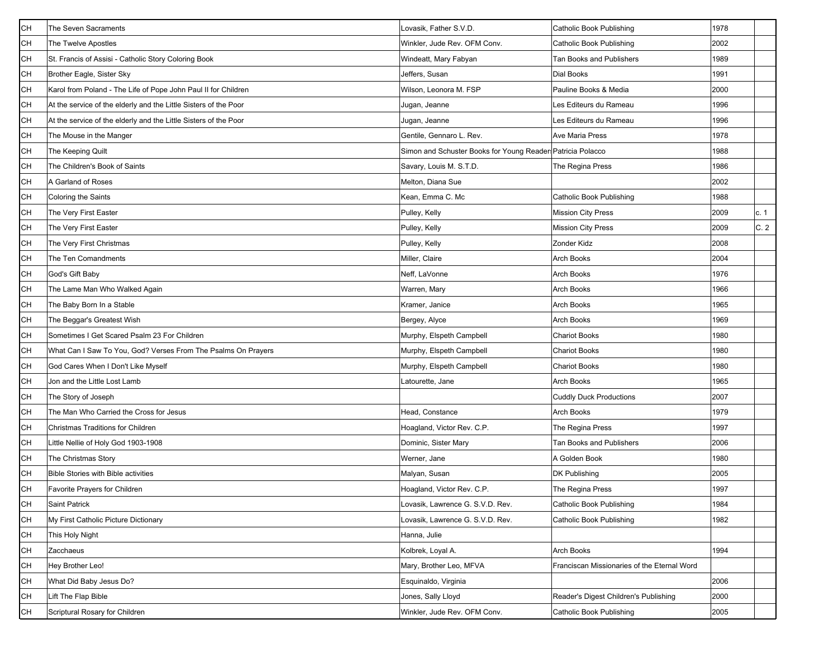| <b>CH</b> | The Seven Sacraments                                             | Lovasik, Father S.V.D.                                     | Catholic Book Publishing                    | 1978 |      |
|-----------|------------------------------------------------------------------|------------------------------------------------------------|---------------------------------------------|------|------|
| CН        | The Twelve Apostles                                              | Winkler, Jude Rev. OFM Conv.                               | Catholic Book Publishing                    | 2002 |      |
| CН        | St. Francis of Assisi - Catholic Story Coloring Book             | Windeatt, Mary Fabyan                                      | <b>Tan Books and Publishers</b>             | 1989 |      |
| CН        | Brother Eagle, Sister Sky                                        | Jeffers, Susan                                             | <b>Dial Books</b>                           | 1991 |      |
| CН        | Karol from Poland - The Life of Pope John Paul II for Children   | Wilson, Leonora M. FSP                                     | Pauline Books & Media                       | 2000 |      |
| CН        | At the service of the elderly and the Little Sisters of the Poor | Jugan, Jeanne                                              | Les Editeurs du Rameau                      | 1996 |      |
| CН        | At the service of the elderly and the Little Sisters of the Poor | Jugan, Jeanne                                              | Les Editeurs du Rameau                      | 1996 |      |
| CН        | The Mouse in the Manger                                          | Gentile, Gennaro L. Rev.                                   | Ave Maria Press                             | 1978 |      |
| CН        | The Keeping Quilt                                                | Simon and Schuster Books for Young Reader Patricia Polacco |                                             | 1988 |      |
| CН        | The Children's Book of Saints                                    | Savary, Louis M. S.T.D.                                    | The Regina Press                            | 1986 |      |
| CН        | A Garland of Roses                                               | Melton, Diana Sue                                          |                                             | 2002 |      |
| CН        | Coloring the Saints                                              | Kean, Emma C. Mc                                           | Catholic Book Publishing                    | 1988 |      |
| CН        | The Very First Easter                                            | Pulley, Kelly                                              | <b>Mission City Press</b>                   | 2009 | c. 1 |
| CН        | The Very First Easter                                            | Pulley, Kelly                                              | <b>Mission City Press</b>                   | 2009 | C.2  |
| CН        | The Very First Christmas                                         | Pulley, Kelly                                              | Zonder Kidz                                 | 2008 |      |
| CН        | The Ten Comandments                                              | Miller, Claire                                             | <b>Arch Books</b>                           | 2004 |      |
| CН        | God's Gift Baby                                                  | Neff, LaVonne                                              | Arch Books                                  | 1976 |      |
| CН        | The Lame Man Who Walked Again                                    | Warren, Mary                                               | <b>Arch Books</b>                           | 1966 |      |
| <b>CH</b> | The Baby Born In a Stable                                        | Kramer, Janice                                             | Arch Books                                  | 1965 |      |
| CН        | The Beggar's Greatest Wish                                       | Bergey, Alyce                                              | Arch Books                                  | 1969 |      |
| CН        | Sometimes I Get Scared Psalm 23 For Children                     | Murphy, Elspeth Campbell                                   | <b>Chariot Books</b>                        | 1980 |      |
| CН        | What Can I Saw To You, God? Verses From The Psalms On Prayers    | Murphy, Elspeth Campbell                                   | <b>Chariot Books</b>                        | 1980 |      |
| CН        | God Cares When I Don't Like Myself                               | Murphy, Elspeth Campbell                                   | <b>Chariot Books</b>                        | 1980 |      |
| CН        | Jon and the Little Lost Lamb                                     | Latourette, Jane                                           | Arch Books                                  | 1965 |      |
| CН        | The Story of Joseph                                              |                                                            | <b>Cuddly Duck Productions</b>              | 2007 |      |
| CН        | The Man Who Carried the Cross for Jesus                          | Head, Constance                                            | <b>Arch Books</b>                           | 1979 |      |
| CН        | Christmas Traditions for Children                                | Hoagland, Victor Rev. C.P.                                 | The Regina Press                            | 1997 |      |
| CН        | Little Nellie of Holy God 1903-1908                              | Dominic, Sister Mary                                       | <b>Tan Books and Publishers</b>             | 2006 |      |
| CН        | The Christmas Story                                              | Werner, Jane                                               | A Golden Book                               | 1980 |      |
| CН        | <b>Bible Stories with Bible activities</b>                       | Malyan, Susan                                              | <b>DK Publishing</b>                        | 2005 |      |
| <b>CH</b> | Favorite Prayers for Children                                    | Hoagland, Victor Rev. C.P.                                 | The Regina Press                            | 1997 |      |
| CН        | Saint Patrick                                                    | Lovasik, Lawrence G. S.V.D. Rev.                           | Catholic Book Publishing                    | 1984 |      |
| CН        | My First Catholic Picture Dictionary                             | Lovasik, Lawrence G. S.V.D. Rev.                           | Catholic Book Publishing                    | 1982 |      |
| <b>CH</b> | This Holy Night                                                  | Hanna, Julie                                               |                                             |      |      |
| CН        | Zacchaeus                                                        | Kolbrek, Loyal A.                                          | <b>Arch Books</b>                           | 1994 |      |
| CН        | Hey Brother Leo!                                                 | Mary, Brother Leo, MFVA                                    | Franciscan Missionaries of the Eternal Word |      |      |
| CН        | What Did Baby Jesus Do?                                          | Esquinaldo, Virginia                                       |                                             | 2006 |      |
| CН        | Lift The Flap Bible                                              | Jones, Sally Lloyd                                         | Reader's Digest Children's Publishing       | 2000 |      |
| CН        | Scriptural Rosary for Children                                   | Winkler, Jude Rev. OFM Conv.                               | Catholic Book Publishing                    | 2005 |      |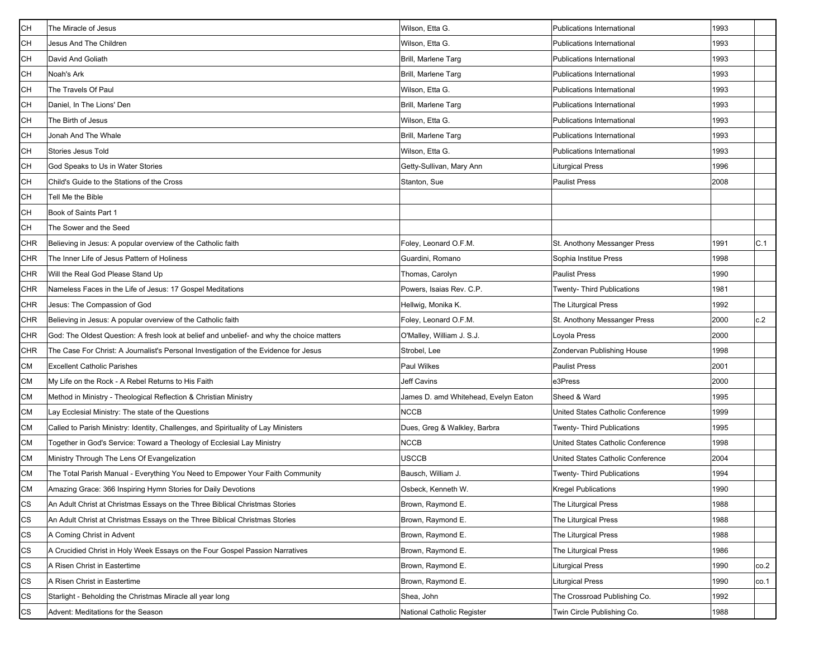| CН                   | The Miracle of Jesus                                                                      | Wilson, Etta G.                      | Publications International        | 1993 |      |
|----------------------|-------------------------------------------------------------------------------------------|--------------------------------------|-----------------------------------|------|------|
| CН                   | Jesus And The Children                                                                    | Wilson, Etta G.                      | Publications International        | 1993 |      |
| CН                   | David And Goliath                                                                         | Brill, Marlene Targ                  | <b>Publications International</b> | 1993 |      |
| CН                   | Noah's Ark                                                                                | Brill, Marlene Targ                  | <b>Publications International</b> | 1993 |      |
| CН                   | The Travels Of Paul                                                                       | Wilson, Etta G.                      | Publications International        | 1993 |      |
| CН                   | Daniel, In The Lions' Den                                                                 | Brill, Marlene Targ                  | Publications International        | 1993 |      |
| CН                   | The Birth of Jesus                                                                        | Wilson, Etta G.                      | <b>Publications International</b> | 1993 |      |
| CН                   | Jonah And The Whale                                                                       | Brill, Marlene Tarq                  | <b>Publications International</b> | 1993 |      |
| CН                   | <b>Stories Jesus Told</b>                                                                 | Wilson, Etta G.                      | Publications International        | 1993 |      |
| CН                   | God Speaks to Us in Water Stories                                                         | Getty-Sullivan, Mary Ann             | Liturgical Press                  | 1996 |      |
| CН                   | Child's Guide to the Stations of the Cross                                                | Stanton, Sue                         | <b>Paulist Press</b>              | 2008 |      |
| CН                   | Tell Me the Bible                                                                         |                                      |                                   |      |      |
| CН                   | Book of Saints Part 1                                                                     |                                      |                                   |      |      |
| CН                   | The Sower and the Seed                                                                    |                                      |                                   |      |      |
| CHR                  | Believing in Jesus: A popular overview of the Catholic faith                              | Foley, Leonard O.F.M.                | St. Anothony Messanger Press      | 1991 | C.1  |
| CHR                  | The Inner Life of Jesus Pattern of Holiness                                               | Guardini, Romano                     | Sophia Institue Press             | 1998 |      |
| CHR                  | Will the Real God Please Stand Up                                                         | Thomas, Carolyn                      | <b>Paulist Press</b>              | 1990 |      |
| CHR                  | Nameless Faces in the Life of Jesus: 17 Gospel Meditations                                | Powers, Isaias Rev. C.P.             | Twenty- Third Publications        | 1981 |      |
| CHR                  | Jesus: The Compassion of God                                                              | Hellwig, Monika K.                   | The Liturgical Press              | 1992 |      |
| CHR                  | Believing in Jesus: A popular overview of the Catholic faith                              | Foley, Leonard O.F.M.                | St. Anothony Messanger Press      | 2000 | c.2  |
| CHR                  | God: The Oldest Question: A fresh look at belief and unbelief- and why the choice matters | O'Malley, William J. S.J.            | Loyola Press                      | 2000 |      |
| CHR                  | The Case For Christ: A Journalist's Personal Investigation of the Evidence for Jesus      | Strobel, Lee                         | Zondervan Publishing House        | 1998 |      |
| СM                   | <b>Excellent Catholic Parishes</b>                                                        | Paul Wilkes                          | <b>Paulist Press</b>              | 2001 |      |
| CМ                   | My Life on the Rock - A Rebel Returns to His Faith                                        | Jeff Cavins                          | e3Press                           | 2000 |      |
| СM                   | Method in Ministry - Theological Reflection & Christian Ministry                          | James D. amd Whitehead, Evelyn Eaton | Sheed & Ward                      | 1995 |      |
| CМ                   | Lay Ecclesial Ministry: The state of the Questions                                        | <b>NCCB</b>                          | United States Catholic Conference | 1999 |      |
| СM                   | Called to Parish Ministry: Identity, Challenges, and Spirituality of Lay Ministers        | Dues, Greg & Walkley, Barbra         | Twenty- Third Publications        | 1995 |      |
| CМ                   | Together in God's Service: Toward a Theology of Ecclesial Lay Ministry                    | <b>NCCB</b>                          | United States Catholic Conference | 1998 |      |
| СM                   | Ministry Through The Lens Of Evangelization                                               | USCCB                                | United States Catholic Conference | 2004 |      |
| СM                   | The Total Parish Manual - Everything You Need to Empower Your Faith Community             | Bausch, William J.                   | Twenty- Third Publications        | 1994 |      |
| СM                   | Amazing Grace: 366 Inspiring Hymn Stories for Daily Devotions                             | Osbeck, Kenneth W.                   | <b>Kregel Publications</b>        | 1990 |      |
| СS                   | An Adult Christ at Christmas Essays on the Three Biblical Christmas Stories               | Brown, Raymond E.                    | The Liturgical Press              | 1988 |      |
| СS                   | An Adult Christ at Christmas Essays on the Three Biblical Christmas Stories               | Brown, Raymond E.                    | The Liturgical Press              | 1988 |      |
| СS                   | A Coming Christ in Advent                                                                 | Brown, Raymond E.                    | The Liturgical Press              | 1988 |      |
| $\mathsf{CS}\xspace$ | A Crucidied Christ in Holy Week Essays on the Four Gospel Passion Narratives              | Brown, Raymond E.                    | The Liturgical Press              | 1986 |      |
| СS                   | A Risen Christ in Eastertime                                                              | Brown, Raymond E.                    | Liturgical Press                  | 1990 | co.2 |
| СS                   | A Risen Christ in Eastertime                                                              | Brown, Raymond E.                    | Liturgical Press                  | 1990 | co.1 |
| СS                   | Starlight - Beholding the Christmas Miracle all year long                                 | Shea, John                           | The Crossroad Publishing Co.      | 1992 |      |
| СS                   | Advent: Meditations for the Season                                                        | National Catholic Register           | Twin Circle Publishing Co.        | 1988 |      |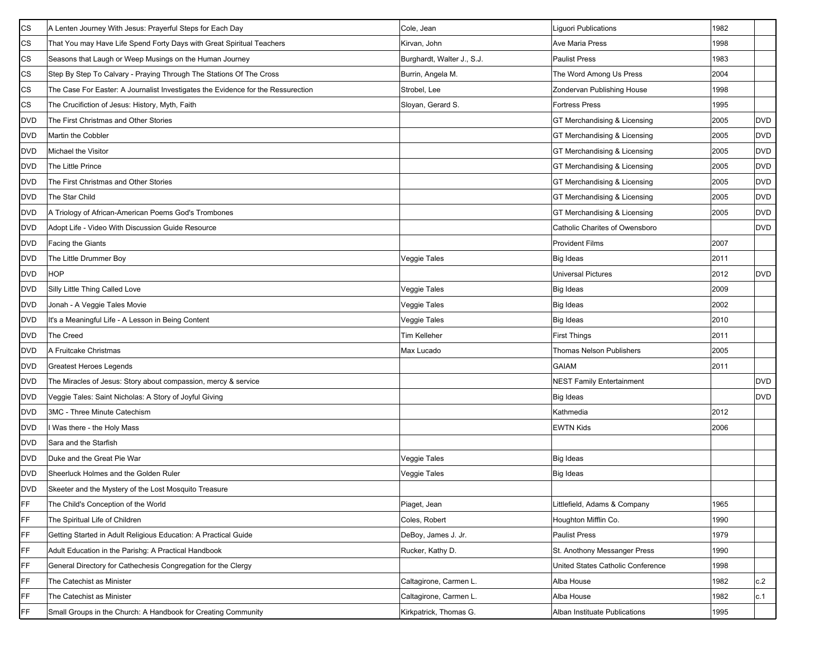| CS         | A Lenten Journey With Jesus: Prayerful Steps for Each Day                        | Cole, Jean                 | Liguori Publications              | 1982 |            |
|------------|----------------------------------------------------------------------------------|----------------------------|-----------------------------------|------|------------|
| СS         | That You may Have Life Spend Forty Days with Great Spiritual Teachers            | Kirvan, John               | <b>Ave Maria Press</b>            | 1998 |            |
| CS         | Seasons that Laugh or Weep Musings on the Human Journey                          | Burghardt, Walter J., S.J. | <b>Paulist Press</b>              | 1983 |            |
| CS         | Step By Step To Calvary - Praying Through The Stations Of The Cross              | Burrin, Angela M.          | The Word Among Us Press           | 2004 |            |
| СS         | The Case For Easter: A Journalist Investigates the Evidence for the Ressurection | Strobel, Lee               | Zondervan Publishing House        | 1998 |            |
| CS         | The Crucifiction of Jesus: History, Myth, Faith                                  | Sloyan, Gerard S.          | <b>Fortress Press</b>             | 1995 |            |
| <b>DVD</b> | The First Christmas and Other Stories                                            |                            | GT Merchandising & Licensing      | 2005 | <b>DVD</b> |
| <b>DVD</b> | Martin the Cobbler                                                               |                            | GT Merchandising & Licensing      | 2005 | <b>DVD</b> |
| <b>DVD</b> | Michael the Visitor                                                              |                            | GT Merchandising & Licensing      | 2005 | <b>DVD</b> |
| <b>DVD</b> | The Little Prince                                                                |                            | GT Merchandising & Licensing      | 2005 | <b>DVD</b> |
| <b>DVD</b> | The First Christmas and Other Stories                                            |                            | GT Merchandising & Licensing      | 2005 | <b>DVD</b> |
| <b>DVD</b> | The Star Child                                                                   |                            | GT Merchandising & Licensing      | 2005 | <b>DVD</b> |
| <b>DVD</b> | A Triology of African-American Poems God's Trombones                             |                            | GT Merchandising & Licensing      | 2005 | <b>DVD</b> |
| <b>DVD</b> | Adopt Life - Video With Discussion Guide Resource                                |                            | Catholic Charites of Owensboro    |      | <b>DVD</b> |
| <b>DVD</b> | Facing the Giants                                                                |                            | <b>Provident Films</b>            | 2007 |            |
| <b>DVD</b> | The Little Drummer Boy                                                           | Veggie Tales               | <b>Big Ideas</b>                  | 2011 |            |
| <b>DVD</b> | <b>HOP</b>                                                                       |                            | <b>Universal Pictures</b>         | 2012 | <b>DVD</b> |
| <b>DVD</b> | Silly Little Thing Called Love                                                   | Veggie Tales               | Big Ideas                         | 2009 |            |
| <b>DVD</b> | Jonah - A Veggie Tales Movie                                                     | Veggie Tales               | <b>Big Ideas</b>                  | 2002 |            |
| <b>DVD</b> | It's a Meaningful Life - A Lesson in Being Content                               | Veggie Tales               | <b>Big Ideas</b>                  | 2010 |            |
| <b>DVD</b> | <b>The Creed</b>                                                                 | Tim Kelleher               | <b>First Things</b>               | 2011 |            |
| <b>DVD</b> | A Fruitcake Christmas                                                            | Max Lucado                 | Thomas Nelson Publishers          | 2005 |            |
| <b>DVD</b> | Greatest Heroes Legends                                                          |                            | <b>GAIAM</b>                      | 2011 |            |
| <b>DVD</b> | The Miracles of Jesus: Story about compassion, mercy & service                   |                            | <b>NEST Family Entertainment</b>  |      | <b>DVD</b> |
| <b>DVD</b> | Veggie Tales: Saint Nicholas: A Story of Joyful Giving                           |                            | <b>Big Ideas</b>                  |      | <b>DVD</b> |
| <b>DVD</b> | 3MC - Three Minute Catechism                                                     |                            | Kathmedia                         | 2012 |            |
| DVD        | Was there - the Holy Mass                                                        |                            | <b>EWTN Kids</b>                  | 2006 |            |
| <b>DVD</b> | Sara and the Starfish                                                            |                            |                                   |      |            |
| <b>DVD</b> | Duke and the Great Pie War                                                       | Veggie Tales               | Big Ideas                         |      |            |
| <b>DVD</b> | Sheerluck Holmes and the Golden Ruler                                            | Veggie Tales               | <b>Big Ideas</b>                  |      |            |
| <b>DVD</b> | Skeeter and the Mystery of the Lost Mosquito Treasure                            |                            |                                   |      |            |
| FF         | The Child's Conception of the World                                              | Piaget, Jean               | Littlefield, Adams & Company      | 1965 |            |
| FF         | The Spiritual Life of Children                                                   | Coles, Robert              | Houghton Mifflin Co.              | 1990 |            |
| FF         | Getting Started in Adult Religious Education: A Practical Guide                  | DeBoy, James J. Jr.        | <b>Paulist Press</b>              | 1979 |            |
| FF         | Adult Education in the Parishg: A Practical Handbook                             | Rucker, Kathy D.           | St. Anothony Messanger Press      | 1990 |            |
| FF         | General Directory for Cathechesis Congregation for the Clergy                    |                            | United States Catholic Conference | 1998 |            |
| FF         | The Catechist as Minister                                                        | Caltagirone, Carmen L.     | Alba House                        | 1982 | c.2        |
| FF         | The Catechist as Minister                                                        | Caltagirone, Carmen L.     | Alba House                        | 1982 | c.1        |
| FF         | Small Groups in the Church: A Handbook for Creating Community                    | Kirkpatrick, Thomas G.     | Alban Instituate Publications     | 1995 |            |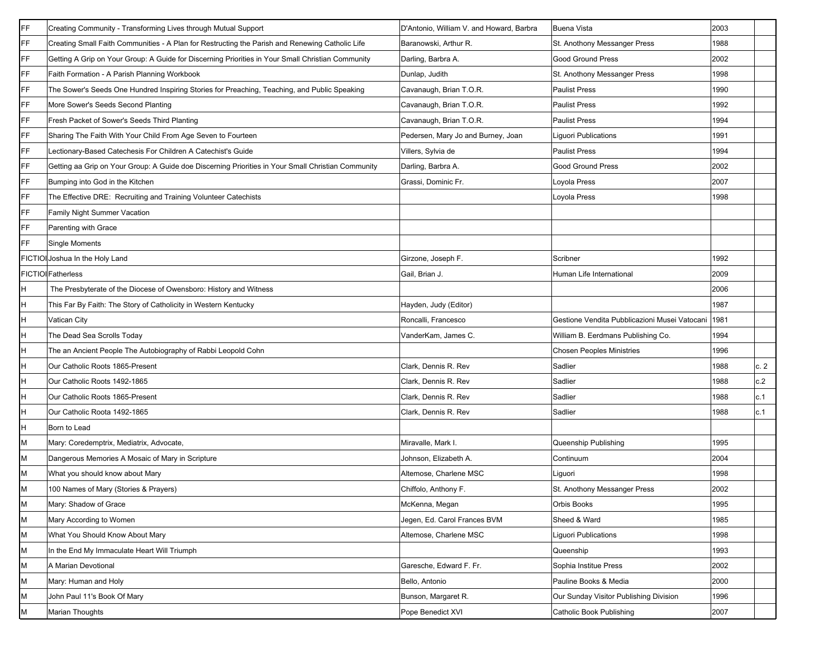| FF | Creating Community - Transforming Lives through Mutual Support                                     | D'Antonio, William V. and Howard, Barbra | <b>Buena Vista</b>                            | 2003 |     |
|----|----------------------------------------------------------------------------------------------------|------------------------------------------|-----------------------------------------------|------|-----|
| FF | Creating Small Faith Communities - A Plan for Restructing the Parish and Renewing Catholic Life    | Baranowski, Arthur R.                    | St. Anothony Messanger Press                  | 1988 |     |
| FF | Getting A Grip on Your Group: A Guide for Discerning Priorities in Your Small Christian Community  | Darling, Barbra A.                       | <b>Good Ground Press</b>                      | 2002 |     |
| FF | Faith Formation - A Parish Planning Workbook                                                       | Dunlap, Judith                           | St. Anothony Messanger Press                  | 1998 |     |
| FF | The Sower's Seeds One Hundred Inspiring Stories for Preaching, Teaching, and Public Speaking       | Cavanaugh, Brian T.O.R.                  | <b>Paulist Press</b>                          | 1990 |     |
| FF | More Sower's Seeds Second Planting                                                                 | Cavanaugh, Brian T.O.R.                  | <b>Paulist Press</b>                          | 1992 |     |
| FF | Fresh Packet of Sower's Seeds Third Planting                                                       | Cavanaugh, Brian T.O.R.                  | <b>Paulist Press</b>                          | 1994 |     |
| FF | Sharing The Faith With Your Child From Age Seven to Fourteen                                       | Pedersen, Mary Jo and Burney, Joan       | Liguori Publications                          | 1991 |     |
| FF | Lectionary-Based Catechesis For Children A Catechist's Guide                                       | Villers, Sylvia de                       | <b>Paulist Press</b>                          | 1994 |     |
| FF | Getting aa Grip on Your Group: A Guide doe Discerning Priorities in Your Small Christian Community | Darling, Barbra A.                       | <b>Good Ground Press</b>                      | 2002 |     |
| FF | Bumping into God in the Kitchen                                                                    | Grassi, Dominic Fr.                      | Loyola Press                                  | 2007 |     |
| FF | The Effective DRE: Recruiting and Training Volunteer Catechists                                    |                                          | Loyola Press                                  | 1998 |     |
| FF | Family Night Summer Vacation                                                                       |                                          |                                               |      |     |
| FF | Parenting with Grace                                                                               |                                          |                                               |      |     |
| FF | Single Moments                                                                                     |                                          |                                               |      |     |
|    | FICTIOI Joshua In the Holy Land                                                                    | Girzone, Joseph F.                       | Scribner                                      | 1992 |     |
|    | <b>FICTIOI Fatherless</b>                                                                          | Gail, Brian J.                           | Human Life International                      | 2009 |     |
| H  | The Presbyterate of the Diocese of Owensboro: History and Witness                                  |                                          |                                               | 2006 |     |
| н  | This Far By Faith: The Story of Catholicity in Western Kentucky                                    | Hayden, Judy (Editor)                    |                                               | 1987 |     |
| н  | Vatican City                                                                                       | Roncalli, Francesco                      | Gestione Vendita Pubblicazioni Musei Vatocani | 1981 |     |
|    | The Dead Sea Scrolls Today                                                                         | VanderKam, James C.                      | William B. Eerdmans Publishing Co.            | 1994 |     |
|    | The an Ancient People The Autobiography of Rabbi Leopold Cohn                                      |                                          | <b>Chosen Peoples Ministries</b>              | 1996 |     |
|    | Our Catholic Roots 1865-Present                                                                    | Clark, Dennis R. Rev                     | Sadlier                                       | 1988 | c.2 |
|    | Our Catholic Roots 1492-1865                                                                       | Clark, Dennis R. Rev                     | Sadlier                                       | 1988 | c.2 |
|    | Our Catholic Roots 1865-Present                                                                    | Clark, Dennis R. Rev                     | Sadlier                                       | 1988 | c.1 |
|    | Our Catholic Roota 1492-1865                                                                       | Clark, Dennis R. Rev                     | Sadlier                                       | 1988 | c.1 |
| Η  | Born to Lead                                                                                       |                                          |                                               |      |     |
| М  | Mary: Coredemptrix, Mediatrix, Advocate,                                                           | Miravalle, Mark I.                       | Queenship Publishing                          | 1995 |     |
| М  | Dangerous Memories A Mosaic of Mary in Scripture                                                   | Johnson, Elizabeth A.                    | Continuum                                     | 2004 |     |
|    | What you should know about Mary                                                                    | Altemose, Charlene MSC                   | Liguori                                       | 1998 |     |
| M  | 100 Names of Mary (Stories & Prayers)                                                              | Chiffolo, Anthony F.                     | St. Anothony Messanger Press                  | 2002 |     |
| M  | Mary: Shadow of Grace                                                                              | McKenna, Megan                           | Orbis Books                                   | 1995 |     |
| м  | Mary According to Women                                                                            | Jegen, Ed. Carol Frances BVM             | Sheed & Ward                                  | 1985 |     |
| М  | What You Should Know About Mary                                                                    | Altemose, Charlene MSC                   | Liguori Publications                          | 1998 |     |
| М  | In the End My Immaculate Heart Will Triumph                                                        |                                          | Queenship                                     | 1993 |     |
| М  | A Marian Devotional                                                                                | Garesche, Edward F. Fr.                  | Sophia Institue Press                         | 2002 |     |
| M  | Mary: Human and Holy                                                                               | Bello, Antonio                           | Pauline Books & Media                         | 2000 |     |
| М  | John Paul 11's Book Of Mary                                                                        | Bunson, Margaret R.                      | Our Sunday Visitor Publishing Division        | 1996 |     |
| М  | <b>Marian Thoughts</b>                                                                             | Pope Benedict XVI                        | Catholic Book Publishing                      | 2007 |     |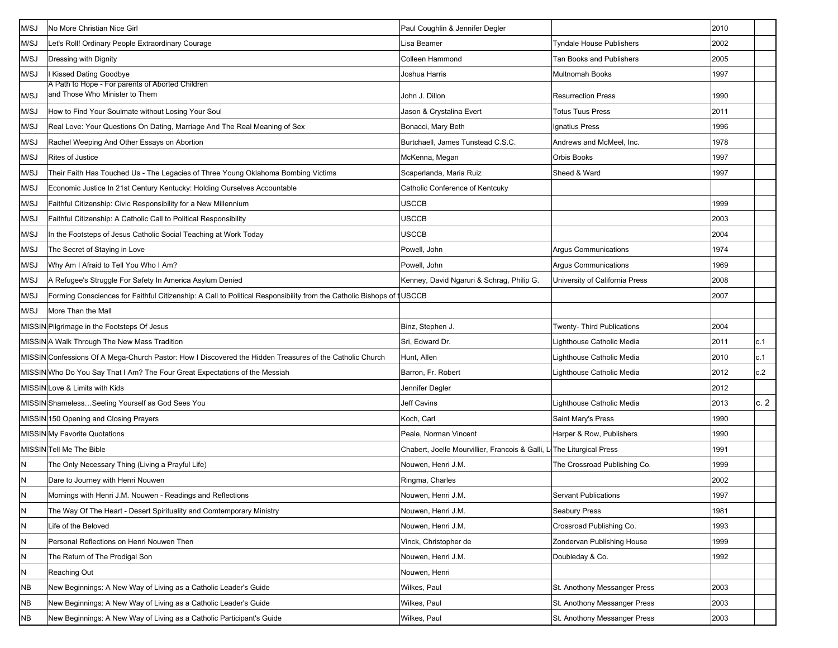| M/SJ      | No More Christian Nice Girl                                                                                          | Paul Coughlin & Jennifer Degler                                       |                                 | 2010 |      |
|-----------|----------------------------------------------------------------------------------------------------------------------|-----------------------------------------------------------------------|---------------------------------|------|------|
| M/SJ      | Let's Roll! Ordinary People Extraordinary Courage                                                                    | Lisa Beamer                                                           | Tyndale House Publishers        | 2002 |      |
| M/SJ      | Dressing with Dignity                                                                                                | Colleen Hammond                                                       | <b>Tan Books and Publishers</b> | 2005 |      |
| M/SJ      | <b>Kissed Dating Goodbye</b>                                                                                         | Joshua Harris                                                         | <b>Multnomah Books</b>          | 1997 |      |
| M/SJ      | A Path to Hope - For parents of Aborted Children<br>and Those Who Minister to Them                                   | John J. Dillon                                                        | <b>Resurrection Press</b>       | 1990 |      |
| M/SJ      | How to Find Your Soulmate without Losing Your Soul                                                                   | Jason & Crystalina Evert                                              | <b>Totus Tuus Press</b>         | 2011 |      |
| M/SJ      | Real Love: Your Questions On Dating, Marriage And The Real Meaning of Sex                                            | Bonacci, Mary Beth                                                    | Ignatius Press                  | 1996 |      |
| M/SJ      | Rachel Weeping And Other Essays on Abortion                                                                          | Burtchaell, James Tunstead C.S.C.                                     | Andrews and McMeel, Inc.        | 1978 |      |
| M/SJ      | Rites of Justice                                                                                                     | McKenna, Megan                                                        | Orbis Books                     | 1997 |      |
| M/SJ      | Their Faith Has Touched Us - The Legacies of Three Young Oklahoma Bombing Victims                                    | Scaperlanda, Maria Ruiz                                               | Sheed & Ward                    | 1997 |      |
| M/SJ      | Economic Justice In 21st Century Kentucky: Holding Ourselves Accountable                                             | Catholic Conference of Kentcuky                                       |                                 |      |      |
| M/SJ      | Faithful Citizenship: Civic Responsibility for a New Millennium                                                      | USCCB                                                                 |                                 | 1999 |      |
| M/SJ      | Faithful Citizenship: A Catholic Call to Political Responsibility                                                    | USCCB                                                                 |                                 | 2003 |      |
| M/SJ      | In the Footsteps of Jesus Catholic Social Teaching at Work Today                                                     | USCCB                                                                 |                                 | 2004 |      |
| M/SJ      | The Secret of Staying in Love                                                                                        | Powell, John                                                          | Argus Communications            | 1974 |      |
| M/SJ      | Why Am I Afraid to Tell You Who I Am?                                                                                | Powell, John                                                          | <b>Argus Communications</b>     | 1969 |      |
| M/SJ      | A Refugee's Struggle For Safety In America Asylum Denied                                                             | Kenney, David Ngaruri & Schrag, Philip G.                             | University of California Press  | 2008 |      |
| M/SJ      | Forming Consciences for Faithful Citizenship: A Call to Political Responsibility from the Catholic Bishops of tUSCCB |                                                                       |                                 | 2007 |      |
| M/SJ      | More Than the Mall                                                                                                   |                                                                       |                                 |      |      |
|           | MISSIN Pilgrimage in the Footsteps Of Jesus                                                                          | Binz, Stephen J.                                                      | Twenty- Third Publications      | 2004 |      |
|           | MISSIN A Walk Through The New Mass Tradition                                                                         | Sri, Edward Dr.                                                       | Lighthouse Catholic Media       | 2011 | c.1  |
|           | MISSIN Confessions Of A Mega-Church Pastor: How I Discovered the Hidden Treasures of the Catholic Church             | Hunt, Allen                                                           | Lighthouse Catholic Media       | 2010 | c.1  |
|           | MISSIN Who Do You Say That I Am? The Four Great Expectations of the Messiah                                          | Barron, Fr. Robert                                                    | Lighthouse Catholic Media       | 2012 | c.2  |
|           | MISSIN Love & Limits with Kids                                                                                       | Jennifer Degler                                                       |                                 | 2012 |      |
|           | MISSIN ShamelessSeeling Yourself as God Sees You                                                                     | <b>Jeff Cavins</b>                                                    | Lighthouse Catholic Media       | 2013 | c. 2 |
|           | MISSIN 150 Opening and Closing Prayers                                                                               | Koch, Carl                                                            | Saint Mary's Press              | 1990 |      |
|           | MISSIN My Favorite Quotations                                                                                        | Peale, Norman Vincent                                                 | Harper & Row, Publishers        | 1990 |      |
|           | MISSIN Tell Me The Bible                                                                                             | Chabert, Joelle Mourvillier, Francois & Galli, L The Liturgical Press |                                 | 1991 |      |
| N         | The Only Necessary Thing (Living a Prayful Life)                                                                     | Nouwen, Henri J.M.                                                    | The Crossroad Publishing Co.    | 1999 |      |
| N         | Dare to Journey with Henri Nouwen                                                                                    | Ringma, Charles                                                       |                                 | 2002 |      |
| IΝ        | Mornings with Henri J.M. Nouwen - Readings and Reflections                                                           | Nouwen, Henri J.M.                                                    | <b>Servant Publications</b>     | 1997 |      |
| N         | The Way Of The Heart - Desert Spirituality and Comtemporary Ministry                                                 | Nouwen, Henri J.M.                                                    | Seabury Press                   | 1981 |      |
| N         | Life of the Beloved                                                                                                  | Nouwen, Henri J.M.                                                    | Crossroad Publishing Co.        | 1993 |      |
| N         | Personal Reflections on Henri Nouwen Then                                                                            | Vinck, Christopher de                                                 | Zondervan Publishing House      | 1999 |      |
| N         | The Return of The Prodigal Son                                                                                       | Nouwen, Henri J.M.                                                    | Doubleday & Co.                 | 1992 |      |
| N         | Reaching Out                                                                                                         | Nouwen, Henri                                                         |                                 |      |      |
| <b>NB</b> | New Beginnings: A New Way of Living as a Catholic Leader's Guide                                                     | Wilkes, Paul                                                          | St. Anothony Messanger Press    | 2003 |      |
| <b>NB</b> | New Beginnings: A New Way of Living as a Catholic Leader's Guide                                                     | Wilkes, Paul                                                          | St. Anothony Messanger Press    | 2003 |      |
| ΝB        | New Beginnings: A New Way of Living as a Catholic Participant's Guide                                                | Wilkes, Paul                                                          | St. Anothony Messanger Press    | 2003 |      |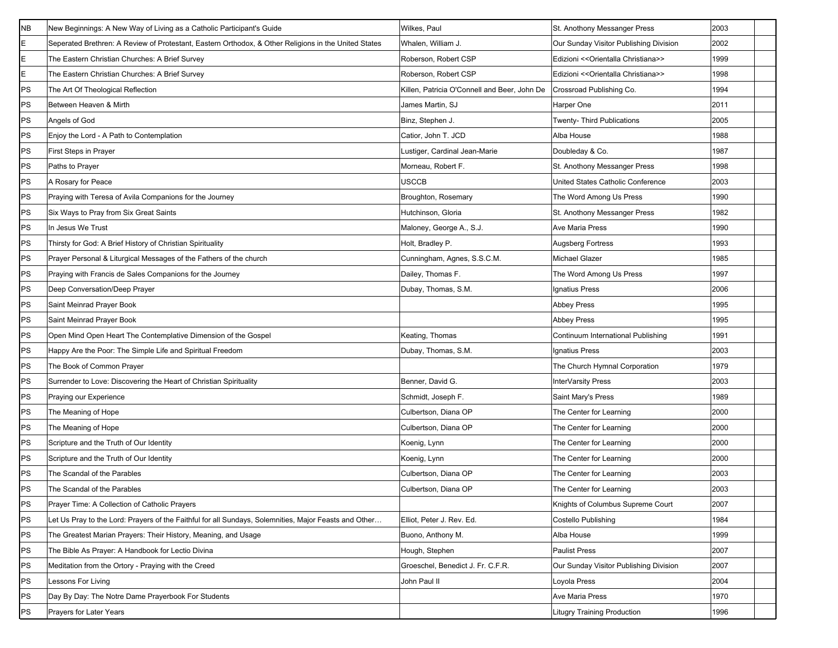| <b>NB</b> | New Beginnings: A New Way of Living as a Catholic Participant's Guide                                 | Wilkes, Paul                                 | St. Anothony Messanger Press           | 2003 |
|-----------|-------------------------------------------------------------------------------------------------------|----------------------------------------------|----------------------------------------|------|
| E         | Seperated Brethren: A Review of Protestant, Eastern Orthodox, & Other Religions in the United States  | Whalen, William J.                           | Our Sunday Visitor Publishing Division | 2002 |
| E         | The Eastern Christian Churches: A Brief Survey                                                        | Roberson, Robert CSP                         | Edizioni << Orientalla Christiana>>    | 1999 |
| E         | The Eastern Christian Churches: A Brief Survey                                                        | Roberson, Robert CSP                         | Edizioni << Orientalla Christiana>>    | 1998 |
| PS        | The Art Of Theological Reflection                                                                     | Killen, Patricia O'Connell and Beer, John De | Crossroad Publishing Co.               | 1994 |
| PS        | Between Heaven & Mirth                                                                                | James Martin, SJ                             | Harper One                             | 2011 |
| PS        | Angels of God                                                                                         | Binz, Stephen J.                             | Twenty- Third Publications             | 2005 |
| PS        | Enjoy the Lord - A Path to Contemplation                                                              | Catior, John T. JCD                          | Alba House                             | 1988 |
| PS        | First Steps in Prayer                                                                                 | Lustiger, Cardinal Jean-Marie                | Doubleday & Co.                        | 1987 |
| <b>PS</b> | Paths to Prayer                                                                                       | Morneau, Robert F.                           | St. Anothony Messanger Press           | 1998 |
| PS        | A Rosary for Peace                                                                                    | USCCB                                        | United States Catholic Conference      | 2003 |
| PS        | Praying with Teresa of Avila Companions for the Journey                                               | Broughton, Rosemary                          | The Word Among Us Press                | 1990 |
| PS        | Six Ways to Pray from Six Great Saints                                                                | Hutchinson, Gloria                           | St. Anothony Messanger Press           | 1982 |
| PS        | In Jesus We Trust                                                                                     | Maloney, George A., S.J.                     | <b>Ave Maria Press</b>                 | 1990 |
| PS        | Thirsty for God: A Brief History of Christian Spirituality                                            | Holt, Bradley P.                             | <b>Augsberg Fortress</b>               | 1993 |
| PS        | Prayer Personal & Liturgical Messages of the Fathers of the church                                    | Cunningham, Agnes, S.S.C.M.                  | <b>Michael Glazer</b>                  | 1985 |
| PS        | Praying with Francis de Sales Companions for the Journey                                              | Dailey, Thomas F.                            | The Word Among Us Press                | 1997 |
| PS        | Deep Conversation/Deep Prayer                                                                         | Dubay, Thomas, S.M.                          | Ignatius Press                         | 2006 |
| PS        | Saint Meinrad Prayer Book                                                                             |                                              | <b>Abbey Press</b>                     | 1995 |
| PS        | Saint Meinrad Prayer Book                                                                             |                                              | <b>Abbey Press</b>                     | 1995 |
| PS        | Open Mind Open Heart The Contemplative Dimension of the Gospel                                        | Keating, Thomas                              | Continuum International Publishing     | 1991 |
| PS        | Happy Are the Poor: The Simple Life and Spiritual Freedom                                             | Dubay, Thomas, S.M.                          | Ignatius Press                         | 2003 |
| PS        | The Book of Common Prayer                                                                             |                                              | The Church Hymnal Corporation          | 1979 |
| PS        | Surrender to Love: Discovering the Heart of Christian Spirituality                                    | Benner, David G.                             | InterVarsity Press                     | 2003 |
| PS        | Praying our Experience                                                                                | Schmidt, Joseph F.                           | Saint Mary's Press                     | 1989 |
| PS        | The Meaning of Hope                                                                                   | Culbertson, Diana OP                         | The Center for Learning                | 2000 |
| PS        | The Meaning of Hope                                                                                   | Culbertson, Diana OP                         | The Center for Learning                | 2000 |
| PS        | Scripture and the Truth of Our Identity                                                               | Koenig, Lynn                                 | The Center for Learning                | 2000 |
| PS        | Scripture and the Truth of Our Identity                                                               | Koenig, Lynn                                 | The Center for Learning                | 2000 |
| PS        | The Scandal of the Parables                                                                           | Culbertson, Diana OP                         | The Center for Learning                | 2003 |
| PS        | The Scandal of the Parables                                                                           | Culbertson, Diana OP                         | The Center for Learning                | 2003 |
| PS        | Prayer Time: A Collection of Catholic Prayers                                                         |                                              | Knights of Columbus Supreme Court      | 2007 |
| PS        | Let Us Pray to the Lord: Prayers of the Faithful for all Sundays, Solemnities, Major Feasts and Other | Elliot, Peter J. Rev. Ed.                    | Costello Publishing                    | 1984 |
| PS        | The Greatest Marian Prayers: Their History, Meaning, and Usage                                        | Buono, Anthony M.                            | Alba House                             | 1999 |
| PS        | The Bible As Prayer: A Handbook for Lectio Divina                                                     | Hough, Stephen                               | <b>Paulist Press</b>                   | 2007 |
| PS        | Meditation from the Ortory - Praying with the Creed                                                   | Groeschel, Benedict J. Fr. C.F.R.            | Our Sunday Visitor Publishing Division | 2007 |
| PS        | Lessons For Living                                                                                    | John Paul II                                 | Loyola Press                           | 2004 |
| PS        | Day By Day: The Notre Dame Prayerbook For Students                                                    |                                              | Ave Maria Press                        | 1970 |
| PS        | Prayers for Later Years                                                                               |                                              | <b>Litugry Training Production</b>     | 1996 |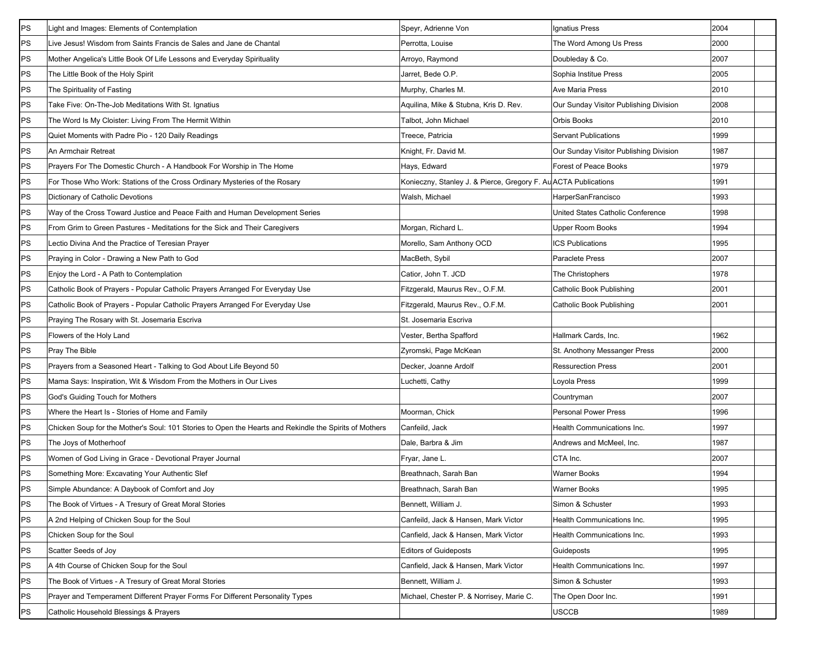| PS | Light and Images: Elements of Contemplation                                                            | Speyr, Adrienne Von                                             | Ignatius Press                         | 2004 |  |
|----|--------------------------------------------------------------------------------------------------------|-----------------------------------------------------------------|----------------------------------------|------|--|
| PS | Live Jesus! Wisdom from Saints Francis de Sales and Jane de Chantal                                    | Perrotta, Louise                                                | The Word Among Us Press                | 2000 |  |
| PS | Mother Angelica's Little Book Of Life Lessons and Everyday Spirituality                                | Arroyo, Raymond                                                 | Doubleday & Co.                        | 2007 |  |
| PS | The Little Book of the Holy Spirit                                                                     | Jarret, Bede O.P.                                               | Sophia Institue Press                  | 2005 |  |
| PS | The Spirituality of Fasting                                                                            | Murphy, Charles M.                                              | Ave Maria Press                        | 2010 |  |
| PS | Take Five: On-The-Job Meditations With St. Ignatius                                                    | Aquilina, Mike & Stubna, Kris D. Rev.                           | Our Sunday Visitor Publishing Division | 2008 |  |
| PS | The Word Is My Cloister: Living From The Hermit Within                                                 | Talbot, John Michael                                            | Orbis Books                            | 2010 |  |
| PS | Quiet Moments with Padre Pio - 120 Daily Readings                                                      | Treece, Patricia                                                | <b>Servant Publications</b>            | 1999 |  |
| PS | An Armchair Retreat                                                                                    | Knight, Fr. David M.                                            | Our Sunday Visitor Publishing Division | 1987 |  |
| PS | Prayers For The Domestic Church - A Handbook For Worship in The Home                                   | Hays, Edward                                                    | Forest of Peace Books                  | 1979 |  |
| PS | For Those Who Work: Stations of the Cross Ordinary Mysteries of the Rosary                             | Konieczny, Stanley J. & Pierce, Gregory F. Au ACTA Publications |                                        | 1991 |  |
| PS | Dictionary of Catholic Devotions                                                                       | Walsh, Michael                                                  | HarperSanFrancisco                     | 1993 |  |
| PS | Way of the Cross Toward Justice and Peace Faith and Human Development Series                           |                                                                 | United States Catholic Conference      | 1998 |  |
| PS | From Grim to Green Pastures - Meditations for the Sick and Their Caregivers                            | Morgan, Richard L.                                              | Upper Room Books                       | 1994 |  |
| PS | Lectio Divina And the Practice of Teresian Prayer                                                      | Morello, Sam Anthony OCD                                        | ICS Publications                       | 1995 |  |
| PS | Praying in Color - Drawing a New Path to God                                                           | MacBeth, Sybil                                                  | Paraclete Press                        | 2007 |  |
| PS | Enjoy the Lord - A Path to Contemplation                                                               | Catior, John T. JCD                                             | The Christophers                       | 1978 |  |
| PS | Catholic Book of Prayers - Popular Catholic Prayers Arranged For Everyday Use                          | Fitzgerald, Maurus Rev., O.F.M.                                 | Catholic Book Publishing               | 2001 |  |
| PS | Catholic Book of Prayers - Popular Catholic Prayers Arranged For Everyday Use                          | Fitzgerald, Maurus Rev., O.F.M.                                 | Catholic Book Publishing               | 2001 |  |
| PS | Praying The Rosary with St. Josemaria Escriva                                                          | St. Josemaria Escriva                                           |                                        |      |  |
| PS | Flowers of the Holy Land                                                                               | Vester, Bertha Spafford                                         | Hallmark Cards, Inc.                   | 1962 |  |
| PS | Pray The Bible                                                                                         | Zyromski, Page McKean                                           | St. Anothony Messanger Press           | 2000 |  |
| PS | Prayers from a Seasoned Heart - Talking to God About Life Beyond 50                                    | Decker, Joanne Ardolf                                           | <b>Ressurection Press</b>              | 2001 |  |
| PS | Mama Says: Inspiration, Wit & Wisdom From the Mothers in Our Lives                                     | Luchetti, Cathy                                                 | Loyola Press                           | 1999 |  |
| PS | God's Guiding Touch for Mothers                                                                        |                                                                 | Countryman                             | 2007 |  |
| PS | Where the Heart Is - Stories of Home and Family                                                        | Moorman, Chick                                                  | <b>Personal Power Press</b>            | 1996 |  |
| PS | Chicken Soup for the Mother's Soul: 101 Stories to Open the Hearts and Rekindle the Spirits of Mothers | Canfeild, Jack                                                  | Health Communications Inc.             | 1997 |  |
| PS | The Joys of Motherhoof                                                                                 | Dale, Barbra & Jim                                              | Andrews and McMeel, Inc.               | 1987 |  |
| PS | Women of God Living in Grace - Devotional Prayer Journal                                               | Fryar, Jane L.                                                  | CTA Inc.                               | 2007 |  |
| PS | Something More: Excavating Your Authentic Slef                                                         | Breathnach, Sarah Ban                                           | <b>Warner Books</b>                    | 1994 |  |
| PS | Simple Abundance: A Daybook of Comfort and Joy                                                         | Breathnach, Sarah Ban                                           | <b>Warner Books</b>                    | 1995 |  |
| PS | The Book of Virtues - A Tresury of Great Moral Stories                                                 | Bennett, William J.                                             | Simon & Schuster                       | 1993 |  |
| PS | A 2nd Helping of Chicken Soup for the Soul                                                             | Canfeild, Jack & Hansen, Mark Victor                            | Health Communications Inc.             | 1995 |  |
| PS | Chicken Soup for the Soul                                                                              | Canfield, Jack & Hansen, Mark Victor                            | Health Communications Inc.             | 1993 |  |
| PS | Scatter Seeds of Joy                                                                                   | <b>Editors of Guideposts</b>                                    | Guideposts                             | 1995 |  |
| PS | A 4th Course of Chicken Soup for the Soul                                                              | Canfield, Jack & Hansen, Mark Victor                            | Health Communications Inc.             | 1997 |  |
| PS | The Book of Virtues - A Tresury of Great Moral Stories                                                 | Bennett, William J.                                             | Simon & Schuster                       | 1993 |  |
| PS | Prayer and Temperament Different Prayer Forms For Different Personality Types                          | Michael, Chester P. & Norrisey, Marie C.                        | The Open Door Inc.                     | 1991 |  |
| PS | Catholic Household Blessings & Prayers                                                                 |                                                                 | <b>USCCB</b>                           | 1989 |  |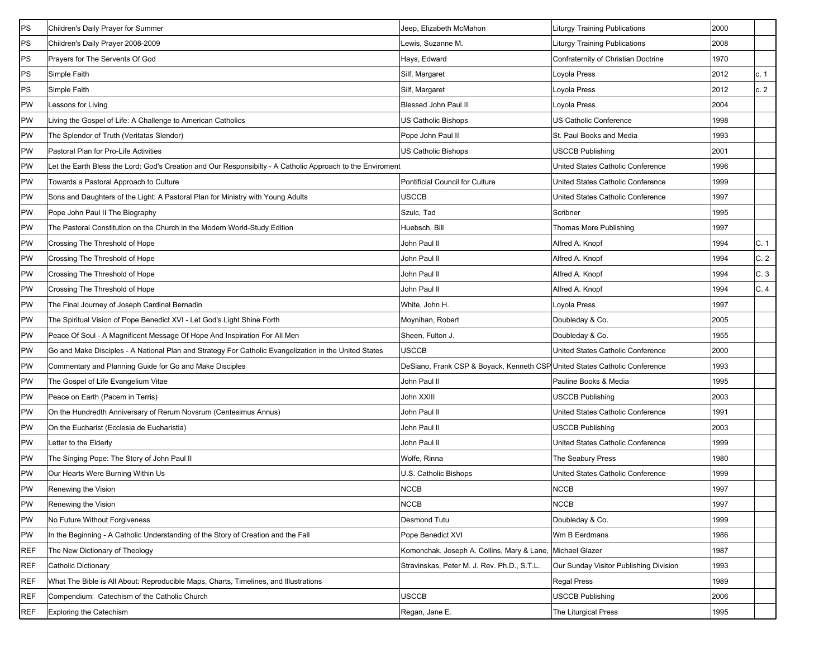| PS         | Children's Daily Prayer for Summer                                                                         | Jeep, Elizabeth McMahon                                                    | <b>Liturgy Training Publications</b>   | 2000 |      |
|------------|------------------------------------------------------------------------------------------------------------|----------------------------------------------------------------------------|----------------------------------------|------|------|
| PS         | Children's Daily Prayer 2008-2009                                                                          | Lewis, Suzanne M.                                                          | Liturgy Training Publications          | 2008 |      |
| PS         | Prayers for The Servents Of God                                                                            | Hays, Edward                                                               | Confraternity of Christian Doctrine    | 1970 |      |
| PS         | Simple Faith                                                                                               | Silf, Margaret                                                             | Loyola Press                           | 2012 | c. 1 |
| PS         | Simple Faith                                                                                               | Silf, Margaret                                                             | Loyola Press                           | 2012 | c.2  |
| PW         | Lessons for Living                                                                                         | <b>Blessed John Paul II</b>                                                | Loyola Press                           | 2004 |      |
| PW         | Living the Gospel of Life: A Challenge to American Catholics                                               | US Catholic Bishops                                                        | US Catholic Conference                 | 1998 |      |
| PW         | The Splendor of Truth (Veritatas Slendor)                                                                  | Pope John Paul II                                                          | St. Paul Books and Media               | 1993 |      |
| PW         | Pastoral Plan for Pro-Life Activities                                                                      | US Catholic Bishops                                                        | <b>USCCB Publishing</b>                | 2001 |      |
| PW         | Let the Earth Bless the Lord: God's Creation and Our Responsibilty - A Catholic Approach to the Enviroment |                                                                            | United States Catholic Conference      | 1996 |      |
| PW         | Towards a Pastoral Approach to Culture                                                                     | Pontificial Council for Culture                                            | United States Catholic Conference      | 1999 |      |
| PW         | Sons and Daughters of the Light: A Pastoral Plan for Ministry with Young Adults                            | USCCB                                                                      | United States Catholic Conference      | 1997 |      |
| PW         | Pope John Paul II The Biography                                                                            | Szulc, Tad                                                                 | Scribner                               | 1995 |      |
| PW         | The Pastoral Constitution on the Church in the Modern World-Study Edition                                  | Huebsch, Bill                                                              | Thomas More Publishing                 | 1997 |      |
| PW         | Crossing The Threshold of Hope                                                                             | John Paul II                                                               | Alfred A. Knopf                        | 1994 | C.1  |
| PW         | Crossing The Threshold of Hope                                                                             | John Paul II                                                               | Alfred A. Knopf                        | 1994 | C.2  |
| PW         | Crossing The Threshold of Hope                                                                             | John Paul II                                                               | Alfred A. Knopf                        | 1994 | C.3  |
| PW         | Crossing The Threshold of Hope                                                                             | John Paul II                                                               | Alfred A. Knopf                        | 1994 | C.4  |
| PW         | The Final Journey of Joseph Cardinal Bernadin                                                              | White, John H.                                                             | Loyola Press                           | 1997 |      |
| PW         | The Spiritual Vision of Pope Benedict XVI - Let God's Light Shine Forth                                    | Moynihan, Robert                                                           | Doubleday & Co.                        | 2005 |      |
| PW         | Peace Of Soul - A Magnificent Message Of Hope And Inspiration For All Men                                  | Sheen, Fulton J.                                                           | Doubleday & Co.                        | 1955 |      |
| PW         | Go and Make Disciples - A National Plan and Strategy For Catholic Evangelization in the United States      | USCCB                                                                      | United States Catholic Conference      | 2000 |      |
| PW         | Commentary and Planning Guide for Go and Make Disciples                                                    | DeSiano, Frank CSP & Boyack, Kenneth CSP United States Catholic Conference |                                        | 1993 |      |
| PW         | The Gospel of Life Evangelium Vitae                                                                        | John Paul II                                                               | Pauline Books & Media                  | 1995 |      |
| PW         | Peace on Earth (Pacem in Terris)                                                                           | John XXIII                                                                 | <b>USCCB Publishing</b>                | 2003 |      |
| PW         | On the Hundredth Anniversary of Rerum Novsrum (Centesimus Annus)                                           | John Paul II                                                               | United States Catholic Conference      | 1991 |      |
| PW         | On the Eucharist (Ecclesia de Eucharistia)                                                                 | John Paul II                                                               | <b>USCCB Publishing</b>                | 2003 |      |
| PW         | Letter to the Elderly                                                                                      | John Paul II                                                               | United States Catholic Conference      | 1999 |      |
| PW         | The Singing Pope: The Story of John Paul II                                                                | Wolfe, Rinna                                                               | The Seabury Press                      | 1980 |      |
| PW         | Our Hearts Were Burning Within Us                                                                          | U.S. Catholic Bishops                                                      | United States Catholic Conference      | 1999 |      |
| PW         | Renewing the Vision                                                                                        | <b>NCCB</b>                                                                | <b>NCCB</b>                            | 1997 |      |
| PW         | Renewing the Vision                                                                                        | <b>NCCB</b>                                                                | <b>NCCB</b>                            | 1997 |      |
| PW         | No Future Without Forgiveness                                                                              | <b>Desmond Tutu</b>                                                        | Doubleday & Co.                        | 1999 |      |
| PW         | In the Beginning - A Catholic Understanding of the Story of Creation and the Fall                          | Pope Benedict XVI                                                          | Wm B Eerdmans                          | 1986 |      |
| REF        | The New Dictionary of Theology                                                                             | Komonchak, Joseph A. Collins, Mary & Lane, Michael Glazer                  |                                        | 1987 |      |
| REF        | Catholic Dictionary                                                                                        | Stravinskas, Peter M. J. Rev. Ph.D., S.T.L.                                | Our Sunday Visitor Publishing Division | 1993 |      |
| REF        | What The Bible is All About: Reproducible Maps, Charts, Timelines, and Illustrations                       |                                                                            | <b>Regal Press</b>                     | 1989 |      |
| <b>REF</b> | Compendium: Catechism of the Catholic Church                                                               | <b>USCCB</b>                                                               | <b>USCCB Publishing</b>                | 2006 |      |
| REF        | <b>Exploring the Catechism</b>                                                                             | Regan, Jane E.                                                             | The Liturgical Press                   | 1995 |      |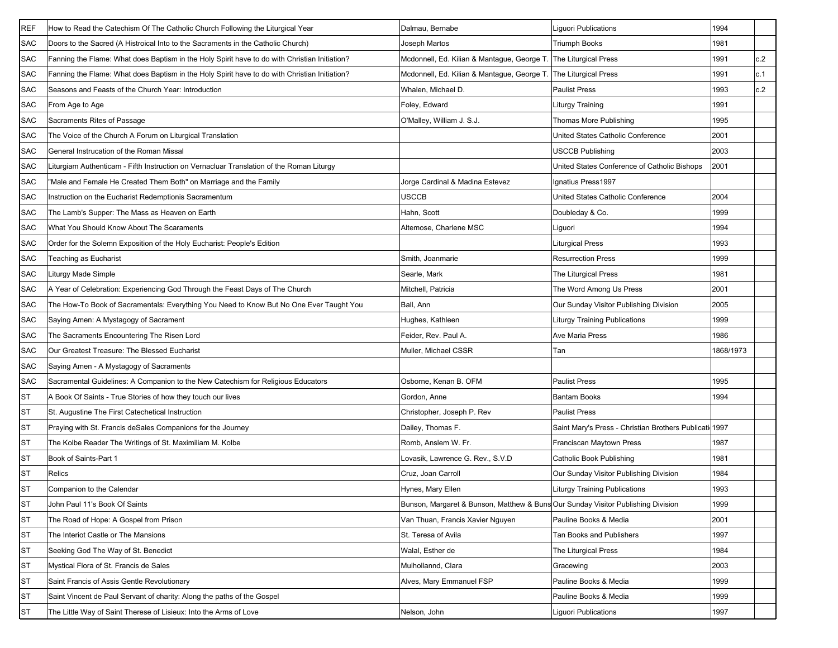| <b>REF</b> | How to Read the Catechism Of The Catholic Church Following the Liturgical Year                | Dalmau, Bernabe                                                                  | Liguori Publications                                   | 1994      |     |
|------------|-----------------------------------------------------------------------------------------------|----------------------------------------------------------------------------------|--------------------------------------------------------|-----------|-----|
| <b>SAC</b> | Doors to the Sacred (A Histroical Into to the Sacraments in the Catholic Church)              | Joseph Martos                                                                    | Triumph Books                                          | 1981      |     |
| SAC        | Fanning the Flame: What does Baptism in the Holy Spirit have to do with Christian Initiation? | Mcdonnell, Ed. Kilian & Mantaque, George T                                       | <b>The Liturgical Press</b>                            | 1991      | c.2 |
| <b>SAC</b> | Fanning the Flame: What does Baptism in the Holy Spirit have to do with Christian Initiation? | Mcdonnell, Ed. Kilian & Mantague, George T.                                      | The Liturgical Press                                   | 1991      | c.1 |
| <b>SAC</b> | Seasons and Feasts of the Church Year: Introduction                                           | Whalen, Michael D.                                                               | <b>Paulist Press</b>                                   | 1993      | c.2 |
| <b>SAC</b> | From Age to Age                                                                               | Foley, Edward                                                                    | Liturgy Training                                       | 1991      |     |
| <b>SAC</b> | Sacraments Rites of Passage                                                                   | O'Malley, William J. S.J.                                                        | Thomas More Publishing                                 | 1995      |     |
| <b>SAC</b> | The Voice of the Church A Forum on Liturgical Translation                                     |                                                                                  | United States Catholic Conference                      | 2001      |     |
| <b>SAC</b> | General Instrucation of the Roman Missal                                                      |                                                                                  | <b>USCCB Publishing</b>                                | 2003      |     |
| SAC        | Liturgiam Authenticam - Fifth Instruction on Vernacluar Translation of the Roman Liturgy      |                                                                                  | United States Conference of Catholic Bishops           | 2001      |     |
| <b>SAC</b> | 'Male and Female He Created Them Both" on Marriage and the Family                             | Jorge Cardinal & Madina Estevez                                                  | Ignatius Press1997                                     |           |     |
| <b>SAC</b> | Instruction on the Eucharist Redemptionis Sacramentum                                         | USCCB                                                                            | United States Catholic Conference                      | 2004      |     |
| <b>SAC</b> | The Lamb's Supper: The Mass as Heaven on Earth                                                | Hahn, Scott                                                                      | Doubleday & Co.                                        | 1999      |     |
| <b>SAC</b> | What You Should Know About The Scaraments                                                     | Altemose, Charlene MSC                                                           | Liguori                                                | 1994      |     |
| <b>SAC</b> | Order for the Solemn Exposition of the Holy Eucharist: People's Edition                       |                                                                                  | Liturgical Press                                       | 1993      |     |
| <b>SAC</b> | Teaching as Eucharist                                                                         | Smith, Joanmarie                                                                 | <b>Resurrection Press</b>                              | 1999      |     |
| <b>SAC</b> | Liturgy Made Simple                                                                           | Searle, Mark                                                                     | <b>The Liturgical Press</b>                            | 1981      |     |
| <b>SAC</b> | A Year of Celebration: Experiencing God Through the Feast Days of The Church                  | Mitchell, Patricia                                                               | The Word Among Us Press                                | 2001      |     |
| <b>SAC</b> | The How-To Book of Sacramentals: Everything You Need to Know But No One Ever Taught You       | Ball, Ann                                                                        | Our Sunday Visitor Publishing Division                 | 2005      |     |
| <b>SAC</b> | Saying Amen: A Mystagogy of Sacrament                                                         | Hughes, Kathleen                                                                 | <b>Liturgy Training Publications</b>                   | 1999      |     |
| <b>SAC</b> | The Sacraments Encountering The Risen Lord                                                    | Feider, Rev. Paul A.                                                             | Ave Maria Press                                        | 1986      |     |
| SAC        | Our Greatest Treasure: The Blessed Eucharist                                                  | Muller, Michael CSSR                                                             | Tan                                                    | 1868/1973 |     |
| SAC        | Saying Amen - A Mystagogy of Sacraments                                                       |                                                                                  |                                                        |           |     |
| <b>SAC</b> | Sacramental Guidelines: A Companion to the New Catechism for Religious Educators              | Osborne, Kenan B. OFM                                                            | <b>Paulist Press</b>                                   | 1995      |     |
| <b>ST</b>  | A Book Of Saints - True Stories of how they touch our lives                                   | Gordon, Anne                                                                     | <b>Bantam Books</b>                                    | 1994      |     |
| <b>ST</b>  | St. Augustine The First Catechetical Instruction                                              | Christopher, Joseph P. Rev                                                       | <b>Paulist Press</b>                                   |           |     |
| ST         | Praying with St. Francis deSales Companions for the Journey                                   | Dailey, Thomas F.                                                                | Saint Mary's Press - Christian Brothers Publicati 1997 |           |     |
| <b>ST</b>  | The Kolbe Reader The Writings of St. Maximiliam M. Kolbe                                      | Romb, Anslem W. Fr.                                                              | <b>Franciscan Maytown Press</b>                        | 1987      |     |
| <b>ST</b>  | Book of Saints-Part 1                                                                         | Lovasik, Lawrence G. Rev., S.V.D                                                 | Catholic Book Publishing                               | 1981      |     |
| <b>ST</b>  | Relics                                                                                        | Cruz, Joan Carroll                                                               | Our Sunday Visitor Publishing Division                 | 1984      |     |
| <b>ST</b>  | Companion to the Calendar                                                                     | Hynes, Mary Ellen                                                                | <b>Liturgy Training Publications</b>                   | 1993      |     |
| <b>ST</b>  | John Paul 11's Book Of Saints                                                                 | Bunson, Margaret & Bunson, Matthew & Buns Our Sunday Visitor Publishing Division |                                                        | 1999      |     |
| <b>ST</b>  | The Road of Hope: A Gospel from Prison                                                        | Van Thuan, Francis Xavier Nguyen                                                 | Pauline Books & Media                                  | 2001      |     |
| <b>ST</b>  | The Interiot Castle or The Mansions                                                           | St. Teresa of Avila                                                              | <b>Tan Books and Publishers</b>                        | 1997      |     |
| <b>ST</b>  | Seeking God The Way of St. Benedict                                                           | Walal, Esther de                                                                 | The Liturgical Press                                   | 1984      |     |
| <b>ST</b>  | Mystical Flora of St. Francis de Sales                                                        | Mulhollannd, Clara                                                               | Gracewing                                              | 2003      |     |
| <b>ST</b>  | Saint Francis of Assis Gentle Revolutionary                                                   | Alves, Mary Emmanuel FSP                                                         | Pauline Books & Media                                  | 1999      |     |
| <b>ST</b>  | Saint Vincent de Paul Servant of charity: Along the paths of the Gospel                       |                                                                                  | Pauline Books & Media                                  | 1999      |     |
| <b>ST</b>  | The Little Way of Saint Therese of Lisieux: Into the Arms of Love                             | Nelson, John                                                                     | Liguori Publications                                   | 1997      |     |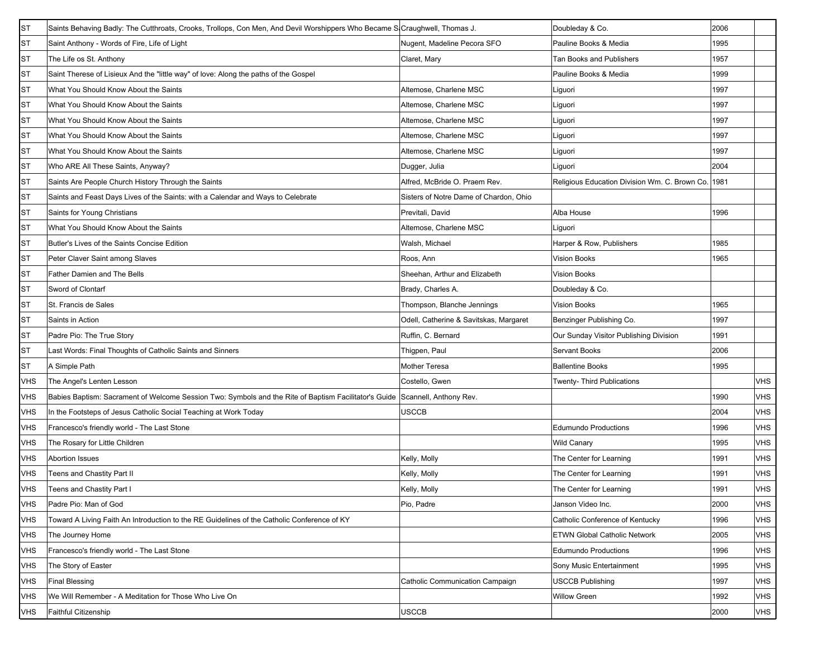| <b>ST</b>  | Saints Behaving Badly: The Cutthroats, Crooks, Trollops, Con Men, And Devil Worshippers Who Became S Craughwell, Thomas J.   |                                        | Doubleday & Co.                               | 2006 |            |
|------------|------------------------------------------------------------------------------------------------------------------------------|----------------------------------------|-----------------------------------------------|------|------------|
| <b>ST</b>  | Saint Anthony - Words of Fire, Life of Light                                                                                 | Nugent, Madeline Pecora SFO            | Pauline Books & Media                         | 1995 |            |
| ST         | The Life os St. Anthony                                                                                                      | Claret, Mary                           | <b>Tan Books and Publishers</b>               | 1957 |            |
| <b>ST</b>  | Saint Therese of Lisieux And the "little way" of love: Along the paths of the Gospel                                         |                                        | Pauline Books & Media                         | 1999 |            |
| <b>ST</b>  | What You Should Know About the Saints                                                                                        | Altemose, Charlene MSC                 | Liquori                                       | 1997 |            |
| <b>ST</b>  | What You Should Know About the Saints                                                                                        | Altemose, Charlene MSC                 | Liguori                                       | 1997 |            |
| <b>ST</b>  | What You Should Know About the Saints                                                                                        | Altemose, Charlene MSC                 | Liguori                                       | 1997 |            |
| <b>ST</b>  | What You Should Know About the Saints                                                                                        | Altemose, Charlene MSC                 | Liguori                                       | 1997 |            |
| <b>ST</b>  | What You Should Know About the Saints                                                                                        | Altemose, Charlene MSC                 | Liguori                                       | 1997 |            |
| <b>ST</b>  | Who ARE All These Saints, Anyway?                                                                                            | Dugger, Julia                          | Liguori                                       | 2004 |            |
| <b>ST</b>  | Saints Are People Church History Through the Saints                                                                          | Alfred, McBride O. Praem Rev.          | Religious Education Division Wm. C. Brown Co. | 1981 |            |
| <b>ST</b>  | Saints and Feast Days Lives of the Saints: with a Calendar and Ways to Celebrate                                             | Sisters of Notre Dame of Chardon, Ohio |                                               |      |            |
| <b>ST</b>  | Saints for Young Christians                                                                                                  | Previtali, David                       | Alba House                                    | 1996 |            |
| <b>ST</b>  | What You Should Know About the Saints                                                                                        | Altemose, Charlene MSC                 | Liguori                                       |      |            |
| <b>ST</b>  | Butler's Lives of the Saints Concise Edition                                                                                 | Walsh, Michael                         | Harper & Row, Publishers                      | 1985 |            |
| <b>ST</b>  | Peter Claver Saint among Slaves                                                                                              | Roos, Ann                              | Vision Books                                  | 1965 |            |
| <b>ST</b>  | Father Damien and The Bells                                                                                                  | Sheehan, Arthur and Elizabeth          | Vision Books                                  |      |            |
| <b>ST</b>  | Sword of Clontarf                                                                                                            | Brady, Charles A.                      | Doubleday & Co.                               |      |            |
| <b>ST</b>  | St. Francis de Sales                                                                                                         | Thompson, Blanche Jennings             | <b>Vision Books</b>                           | 1965 |            |
| <b>ST</b>  | Saints in Action                                                                                                             | Odell, Catherine & Savitskas, Margaret | Benzinger Publishing Co.                      | 1997 |            |
| <b>ST</b>  | Padre Pio: The True Story                                                                                                    | Ruffin, C. Bernard                     | Our Sunday Visitor Publishing Division        | 1991 |            |
| <b>ST</b>  | Last Words: Final Thoughts of Catholic Saints and Sinners                                                                    | Thigpen, Paul                          | Servant Books                                 | 2006 |            |
| <b>ST</b>  | A Simple Path                                                                                                                | <b>Mother Teresa</b>                   | <b>Ballentine Books</b>                       | 1995 |            |
| VHS        | The Angel's Lenten Lesson                                                                                                    | Costello, Gwen                         | Twenty- Third Publications                    |      | <b>VHS</b> |
| VHS        | Babies Baptism: Sacrament of Welcome Session Two: Symbols and the Rite of Baptism Facilitator's Guide Scannell, Anthony Rev. |                                        |                                               | 1990 | <b>VHS</b> |
| VHS        | In the Footsteps of Jesus Catholic Social Teaching at Work Today                                                             | <b>USCCB</b>                           |                                               | 2004 | <b>VHS</b> |
| VHS        | Francesco's friendly world - The Last Stone                                                                                  |                                        | <b>Edumundo Productions</b>                   | 1996 | <b>VHS</b> |
| VHS        | The Rosary for Little Children                                                                                               |                                        | <b>Wild Canary</b>                            | 1995 | <b>VHS</b> |
| VHS        | <b>Abortion Issues</b>                                                                                                       | Kelly, Molly                           | The Center for Learning                       | 1991 | <b>VHS</b> |
| <b>VHS</b> | Teens and Chastity Part II                                                                                                   | Kelly, Molly                           | The Center for Learning                       | 1991 | <b>VHS</b> |
| <b>VHS</b> | Teens and Chastity Part I                                                                                                    | Kelly, Molly                           | The Center for Learning                       | 1991 | <b>VHS</b> |
| VHS        | Padre Pio: Man of God                                                                                                        | Pio, Padre                             | Janson Video Inc.                             | 2000 | <b>VHS</b> |
| VHS        | Toward A Living Faith An Introduction to the RE Guidelines of the Catholic Conference of KY                                  |                                        | Catholic Conference of Kentucky               | 1996 | <b>VHS</b> |
| VHS        | The Journey Home                                                                                                             |                                        | <b>ETWN Global Catholic Network</b>           | 2005 | <b>VHS</b> |
| VHS        | Francesco's friendly world - The Last Stone                                                                                  |                                        | <b>Edumundo Productions</b>                   | 1996 | <b>VHS</b> |
| VHS        | The Story of Easter                                                                                                          |                                        | Sony Music Entertainment                      | 1995 | <b>VHS</b> |
| VHS        | <b>Final Blessing</b>                                                                                                        | Catholic Communication Campaign        | <b>USCCB Publishing</b>                       | 1997 | <b>VHS</b> |
| VHS        | We Will Remember - A Meditation for Those Who Live On                                                                        |                                        | <b>Willow Green</b>                           | 1992 | <b>VHS</b> |
| VHS        | Faithful Citizenship                                                                                                         | <b>USCCB</b>                           |                                               | 2000 | <b>VHS</b> |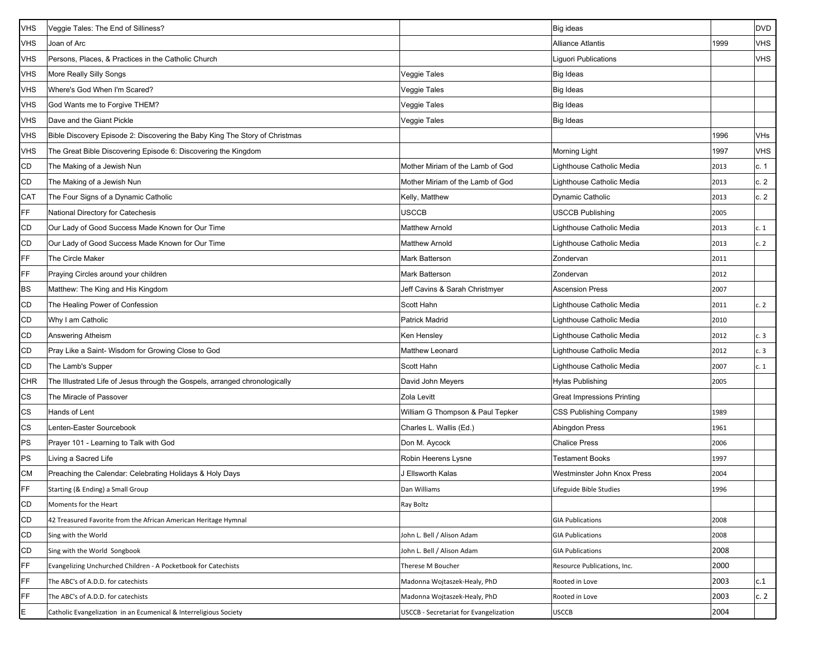| <b>VHS</b> | Veggie Tales: The End of Silliness?                                         |                                               | Big ideas                         |      | <b>DVD</b> |
|------------|-----------------------------------------------------------------------------|-----------------------------------------------|-----------------------------------|------|------------|
| <b>VHS</b> | Joan of Arc                                                                 |                                               | <b>Alliance Atlantis</b>          | 1999 | <b>VHS</b> |
| <b>VHS</b> | Persons, Places, & Practices in the Catholic Church                         |                                               | Liguori Publications              |      | <b>VHS</b> |
| <b>VHS</b> | More Really Silly Songs                                                     | Veggie Tales                                  | <b>Big Ideas</b>                  |      |            |
| <b>VHS</b> | Where's God When I'm Scared?                                                | Veggie Tales                                  | Big Ideas                         |      |            |
| <b>VHS</b> | God Wants me to Forgive THEM?                                               | Veggie Tales                                  | <b>Big Ideas</b>                  |      |            |
| <b>VHS</b> | Dave and the Giant Pickle                                                   | Veggie Tales                                  | Big Ideas                         |      |            |
| <b>VHS</b> | Bible Discovery Episode 2: Discovering the Baby King The Story of Christmas |                                               |                                   | 1996 | VHs        |
| <b>VHS</b> | The Great Bible Discovering Episode 6: Discovering the Kingdom              |                                               | <b>Morning Light</b>              | 1997 | <b>VHS</b> |
| CD         | The Making of a Jewish Nun                                                  | Mother Miriam of the Lamb of God              | Lighthouse Catholic Media         | 2013 | c. 1       |
| CD         | The Making of a Jewish Nun                                                  | Mother Miriam of the Lamb of God              | Lighthouse Catholic Media         | 2013 | c.2        |
| CAT        | The Four Signs of a Dynamic Catholic                                        | Kelly, Matthew                                | <b>Dynamic Catholic</b>           | 2013 | c.2        |
| <b>FF</b>  | National Directory for Catechesis                                           | USCCB                                         | <b>USCCB Publishing</b>           | 2005 |            |
| CD         | Our Lady of Good Success Made Known for Our Time                            | <b>Matthew Arnold</b>                         | Lighthouse Catholic Media         | 2013 | c.1        |
| <b>CD</b>  | Our Lady of Good Success Made Known for Our Time                            | <b>Matthew Arnold</b>                         | Lighthouse Catholic Media         | 2013 | c.2        |
| FF         | The Circle Maker                                                            | Mark Batterson                                | Zondervan                         | 2011 |            |
| FF         | Praying Circles around your children                                        | Mark Batterson                                | Zondervan                         | 2012 |            |
| BS         | Matthew: The King and His Kingdom                                           | Jeff Cavins & Sarah Christmyer                | <b>Ascension Press</b>            | 2007 |            |
| <b>CD</b>  | The Healing Power of Confession                                             | Scott Hahn                                    | Lighthouse Catholic Media         | 2011 | c.2        |
| CD         | Why I am Catholic                                                           | <b>Patrick Madrid</b>                         | Lighthouse Catholic Media         | 2010 |            |
| <b>CD</b>  | Answering Atheism                                                           | Ken Hensley                                   | Lighthouse Catholic Media         | 2012 | c.3        |
| CD         | Pray Like a Saint- Wisdom for Growing Close to God                          | Matthew Leonard                               | Lighthouse Catholic Media         | 2012 | c.3        |
| CD         | The Lamb's Supper                                                           | Scott Hahn                                    | Lighthouse Catholic Media         | 2007 | c.1        |
| <b>CHR</b> | The Illustrated Life of Jesus through the Gospels, arranged chronologically | David John Meyers                             | Hylas Publishing                  | 2005 |            |
| CS         | The Miracle of Passover                                                     | Zola Levitt                                   | <b>Great Impressions Printing</b> |      |            |
| CS         | Hands of Lent                                                               | William G Thompson & Paul Tepker              | <b>CSS Publishing Company</b>     | 1989 |            |
| CS         | Lenten-Easter Sourcebook                                                    | Charles L. Wallis (Ed.)                       | <b>Abingdon Press</b>             | 1961 |            |
| PS         | Prayer 101 - Learning to Talk with God                                      | Don M. Aycock                                 | <b>Chalice Press</b>              | 2006 |            |
| PS         | Living a Sacred Life                                                        | Robin Heerens Lysne                           | <b>Testament Books</b>            | 1997 |            |
| <b>CM</b>  | Preaching the Calendar: Celebrating Holidays & Holy Days                    | J Ellsworth Kalas                             | Westminster John Knox Press       | 2004 |            |
| FF         | Starting (& Ending) a Small Group                                           | Dan Williams                                  | Lifeguide Bible Studies           | 1996 |            |
| CD         | Moments for the Heart                                                       | Ray Boltz                                     |                                   |      |            |
| CD         | 42 Treasured Favorite from the African American Heritage Hymnal             |                                               | <b>GIA Publications</b>           | 2008 |            |
| CD         | Sing with the World                                                         | John L. Bell / Alison Adam                    | <b>GIA Publications</b>           | 2008 |            |
| CD         | Sing with the World Songbook                                                | John L. Bell / Alison Adam                    | <b>GIA Publications</b>           | 2008 |            |
| FF         | Evangelizing Unchurched Children - A Pocketbook for Catechists              | Therese M Boucher                             | Resource Publications, Inc.       | 2000 |            |
| FF         | The ABC's of A.D.D. for catechists                                          | Madonna Wojtaszek-Healy, PhD                  | Rooted in Love                    | 2003 | c.1        |
| FF         | The ABC's of A.D.D. for catechists                                          | Madonna Wojtaszek-Healy, PhD                  | Rooted in Love                    | 2003 | c.2        |
| E          | Catholic Evangelization in an Ecumenical & Interreligious Society           | <b>USCCB</b> - Secretariat for Evangelization | <b>USCCB</b>                      | 2004 |            |